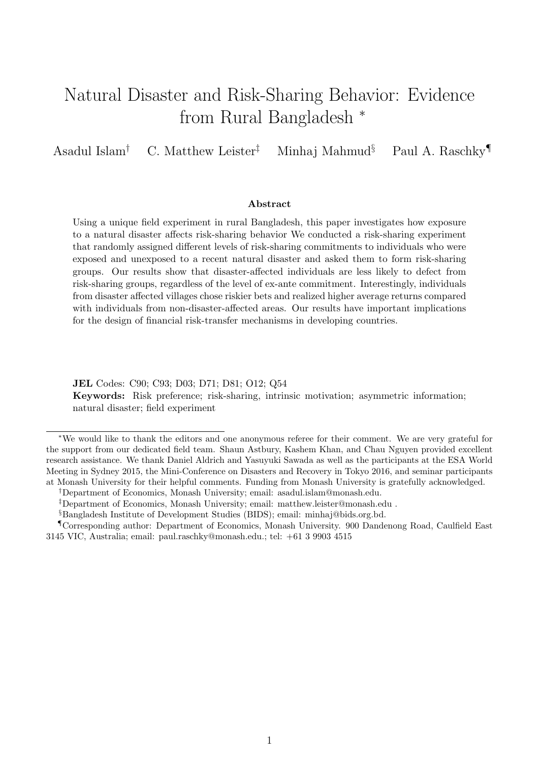# <span id="page-0-0"></span>Natural Disaster and Risk-Sharing Behavior: Evidence from Rural Bangladesh <sup>∗</sup>

Asadul Islam† C. Matthew Leister‡ Minhaj Mahmud§ Paul A. Raschky¶

### Abstract

Using a unique field experiment in rural Bangladesh, this paper investigates how exposure to a natural disaster affects risk-sharing behavior We conducted a risk-sharing experiment that randomly assigned different levels of risk-sharing commitments to individuals who were exposed and unexposed to a recent natural disaster and asked them to form risk-sharing groups. Our results show that disaster-affected individuals are less likely to defect from risk-sharing groups, regardless of the level of ex-ante commitment. Interestingly, individuals from disaster affected villages chose riskier bets and realized higher average returns compared with individuals from non-disaster-affected areas. Our results have important implications for the design of financial risk-transfer mechanisms in developing countries.

JEL Codes: C90; C93; D03; D71; D81; O12; Q54 Keywords: Risk preference; risk-sharing, intrinsic motivation; asymmetric information; natural disaster; field experiment

<sup>∗</sup>We would like to thank the editors and one anonymous referee for their comment. We are very grateful for the support from our dedicated field team. Shaun Astbury, Kashem Khan, and Chau Nguyen provided excellent research assistance. We thank Daniel Aldrich and Yasuyuki Sawada as well as the participants at the ESA World Meeting in Sydney 2015, the Mini-Conference on Disasters and Recovery in Tokyo 2016, and seminar participants at Monash University for their helpful comments. Funding from Monash University is gratefully acknowledged.

<sup>†</sup>Department of Economics, Monash University; email: asadul.islam@monash.edu.

<sup>‡</sup>Department of Economics, Monash University; email: matthew.leister@monash.edu .

<sup>§</sup>Bangladesh Institute of Development Studies (BIDS); email: minhaj@bids.org.bd.

<sup>¶</sup>Corresponding author: Department of Economics, Monash University. 900 Dandenong Road, Caulfield East 3145 VIC, Australia; email: paul.raschky@monash.edu.; tel: +61 3 9903 4515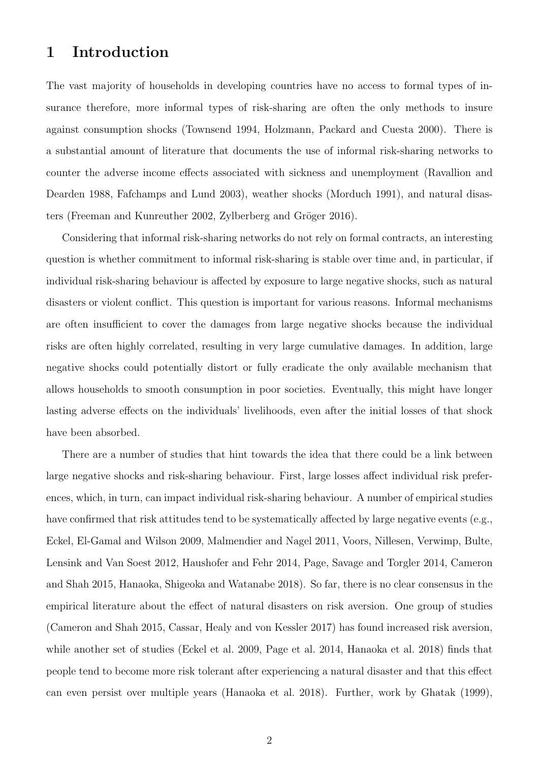## 1 Introduction

The vast majority of households in developing countries have no access to formal types of insurance therefore, more informal types of risk-sharing are often the only methods to insure against consumption shocks (Townsend 1994, Holzmann, Packard and Cuesta 2000). There is a substantial amount of literature that documents the use of informal risk-sharing networks to counter the adverse income effects associated with sickness and unemployment (Ravallion and Dearden 1988, Fafchamps and Lund 2003), weather shocks (Morduch 1991), and natural disasters (Freeman and Kunreuther 2002, Zylberberg and Gröger 2016).

Considering that informal risk-sharing networks do not rely on formal contracts, an interesting question is whether commitment to informal risk-sharing is stable over time and, in particular, if individual risk-sharing behaviour is affected by exposure to large negative shocks, such as natural disasters or violent conflict. This question is important for various reasons. Informal mechanisms are often insufficient to cover the damages from large negative shocks because the individual risks are often highly correlated, resulting in very large cumulative damages. In addition, large negative shocks could potentially distort or fully eradicate the only available mechanism that allows households to smooth consumption in poor societies. Eventually, this might have longer lasting adverse effects on the individuals' livelihoods, even after the initial losses of that shock have been absorbed.

There are a number of studies that hint towards the idea that there could be a link between large negative shocks and risk-sharing behaviour. First, large losses affect individual risk preferences, which, in turn, can impact individual risk-sharing behaviour. A number of empirical studies have confirmed that risk attitudes tend to be systematically affected by large negative events (e.g., Eckel, El-Gamal and Wilson 2009, Malmendier and Nagel 2011, Voors, Nillesen, Verwimp, Bulte, Lensink and Van Soest 2012, Haushofer and Fehr 2014, Page, Savage and Torgler 2014, Cameron and Shah 2015, Hanaoka, Shigeoka and Watanabe 2018). So far, there is no clear consensus in the empirical literature about the effect of natural disasters on risk aversion. One group of studies (Cameron and Shah 2015, Cassar, Healy and von Kessler 2017) has found increased risk aversion, while another set of studies (Eckel et al. 2009, Page et al. 2014, Hanaoka et al. 2018) finds that people tend to become more risk tolerant after experiencing a natural disaster and that this effect can even persist over multiple years (Hanaoka et al. 2018). Further, work by Ghatak (1999),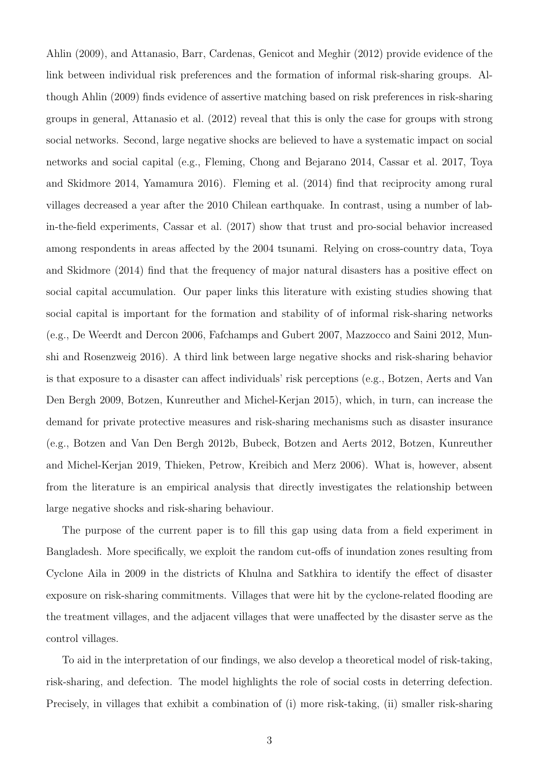Ahlin (2009), and Attanasio, Barr, Cardenas, Genicot and Meghir (2012) provide evidence of the link between individual risk preferences and the formation of informal risk-sharing groups. Although Ahlin (2009) finds evidence of assertive matching based on risk preferences in risk-sharing groups in general, Attanasio et al. (2012) reveal that this is only the case for groups with strong social networks. Second, large negative shocks are believed to have a systematic impact on social networks and social capital (e.g., Fleming, Chong and Bejarano 2014, Cassar et al. 2017, Toya and Skidmore 2014, Yamamura 2016). Fleming et al. (2014) find that reciprocity among rural villages decreased a year after the 2010 Chilean earthquake. In contrast, using a number of labin-the-field experiments, Cassar et al. (2017) show that trust and pro-social behavior increased among respondents in areas affected by the 2004 tsunami. Relying on cross-country data, Toya and Skidmore (2014) find that the frequency of major natural disasters has a positive effect on social capital accumulation. Our paper links this literature with existing studies showing that social capital is important for the formation and stability of of informal risk-sharing networks (e.g., De Weerdt and Dercon 2006, Fafchamps and Gubert 2007, Mazzocco and Saini 2012, Munshi and Rosenzweig 2016). A third link between large negative shocks and risk-sharing behavior is that exposure to a disaster can affect individuals' risk perceptions (e.g., Botzen, Aerts and Van Den Bergh 2009, Botzen, Kunreuther and Michel-Kerjan 2015), which, in turn, can increase the demand for private protective measures and risk-sharing mechanisms such as disaster insurance (e.g., Botzen and Van Den Bergh 2012b, Bubeck, Botzen and Aerts 2012, Botzen, Kunreuther and Michel-Kerjan 2019, Thieken, Petrow, Kreibich and Merz 2006). What is, however, absent from the literature is an empirical analysis that directly investigates the relationship between large negative shocks and risk-sharing behaviour.

The purpose of the current paper is to fill this gap using data from a field experiment in Bangladesh. More specifically, we exploit the random cut-offs of inundation zones resulting from Cyclone Aila in 2009 in the districts of Khulna and Satkhira to identify the effect of disaster exposure on risk-sharing commitments. Villages that were hit by the cyclone-related flooding are the treatment villages, and the adjacent villages that were unaffected by the disaster serve as the control villages.

To aid in the interpretation of our findings, we also develop a theoretical model of risk-taking, risk-sharing, and defection. The model highlights the role of social costs in deterring defection. Precisely, in villages that exhibit a combination of (i) more risk-taking, (ii) smaller risk-sharing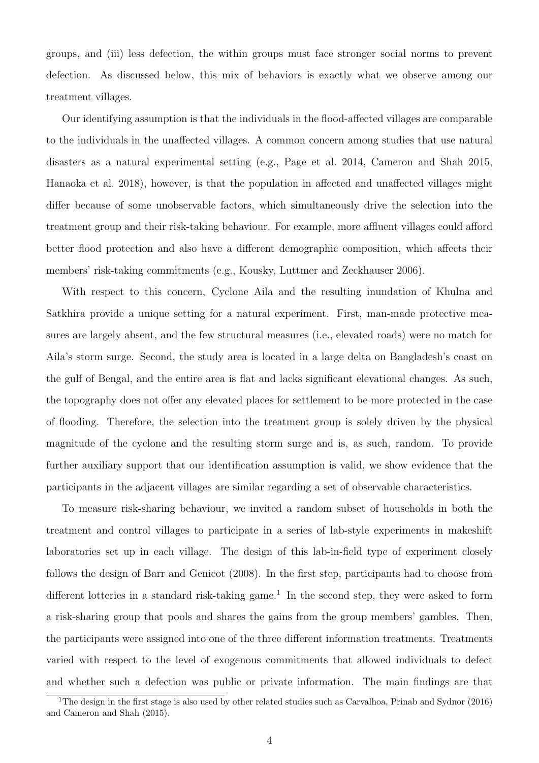groups, and (iii) less defection, the within groups must face stronger social norms to prevent defection. As discussed below, this mix of behaviors is exactly what we observe among our treatment villages.

Our identifying assumption is that the individuals in the flood-affected villages are comparable to the individuals in the unaffected villages. A common concern among studies that use natural disasters as a natural experimental setting (e.g., Page et al. 2014, Cameron and Shah 2015, Hanaoka et al. 2018), however, is that the population in affected and unaffected villages might differ because of some unobservable factors, which simultaneously drive the selection into the treatment group and their risk-taking behaviour. For example, more affluent villages could afford better flood protection and also have a different demographic composition, which affects their members' risk-taking commitments (e.g., Kousky, Luttmer and Zeckhauser 2006).

With respect to this concern, Cyclone Aila and the resulting inundation of Khulna and Satkhira provide a unique setting for a natural experiment. First, man-made protective measures are largely absent, and the few structural measures (i.e., elevated roads) were no match for Aila's storm surge. Second, the study area is located in a large delta on Bangladesh's coast on the gulf of Bengal, and the entire area is flat and lacks significant elevational changes. As such, the topography does not offer any elevated places for settlement to be more protected in the case of flooding. Therefore, the selection into the treatment group is solely driven by the physical magnitude of the cyclone and the resulting storm surge and is, as such, random. To provide further auxiliary support that our identification assumption is valid, we show evidence that the participants in the adjacent villages are similar regarding a set of observable characteristics.

To measure risk-sharing behaviour, we invited a random subset of households in both the treatment and control villages to participate in a series of lab-style experiments in makeshift laboratories set up in each village. The design of this lab-in-field type of experiment closely follows the design of Barr and Genicot (2008). In the first step, participants had to choose from different lotteries in a standard risk-taking game.<sup>[1](#page-0-0)</sup> In the second step, they were asked to form a risk-sharing group that pools and shares the gains from the group members' gambles. Then, the participants were assigned into one of the three different information treatments. Treatments varied with respect to the level of exogenous commitments that allowed individuals to defect and whether such a defection was public or private information. The main findings are that

<sup>&</sup>lt;sup>1</sup>The design in the first stage is also used by other related studies such as Carvalhoa, Prinab and Sydnor (2016) and Cameron and Shah (2015).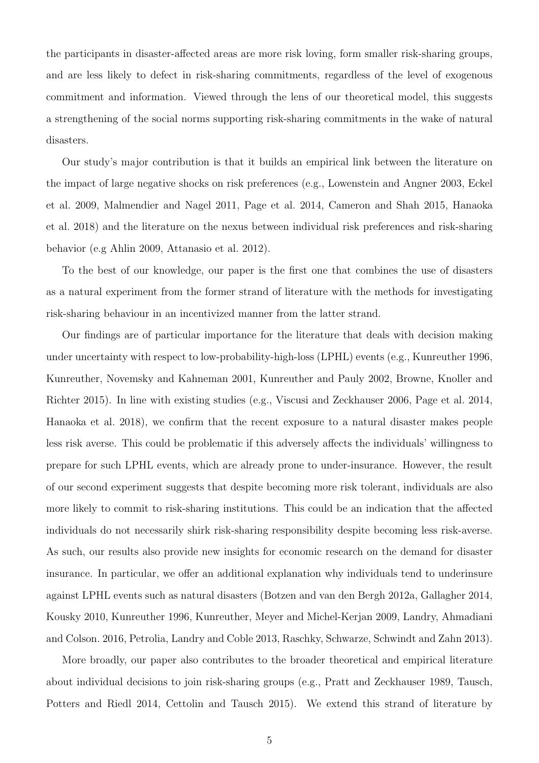the participants in disaster-affected areas are more risk loving, form smaller risk-sharing groups, and are less likely to defect in risk-sharing commitments, regardless of the level of exogenous commitment and information. Viewed through the lens of our theoretical model, this suggests a strengthening of the social norms supporting risk-sharing commitments in the wake of natural disasters.

Our study's major contribution is that it builds an empirical link between the literature on the impact of large negative shocks on risk preferences (e.g., Lowenstein and Angner 2003, Eckel et al. 2009, Malmendier and Nagel 2011, Page et al. 2014, Cameron and Shah 2015, Hanaoka et al. 2018) and the literature on the nexus between individual risk preferences and risk-sharing behavior (e.g Ahlin 2009, Attanasio et al. 2012).

To the best of our knowledge, our paper is the first one that combines the use of disasters as a natural experiment from the former strand of literature with the methods for investigating risk-sharing behaviour in an incentivized manner from the latter strand.

Our findings are of particular importance for the literature that deals with decision making under uncertainty with respect to low-probability-high-loss (LPHL) events (e.g., Kunreuther 1996, Kunreuther, Novemsky and Kahneman 2001, Kunreuther and Pauly 2002, Browne, Knoller and Richter 2015). In line with existing studies (e.g., Viscusi and Zeckhauser 2006, Page et al. 2014, Hanaoka et al. 2018), we confirm that the recent exposure to a natural disaster makes people less risk averse. This could be problematic if this adversely affects the individuals' willingness to prepare for such LPHL events, which are already prone to under-insurance. However, the result of our second experiment suggests that despite becoming more risk tolerant, individuals are also more likely to commit to risk-sharing institutions. This could be an indication that the affected individuals do not necessarily shirk risk-sharing responsibility despite becoming less risk-averse. As such, our results also provide new insights for economic research on the demand for disaster insurance. In particular, we offer an additional explanation why individuals tend to underinsure against LPHL events such as natural disasters (Botzen and van den Bergh 2012a, Gallagher 2014, Kousky 2010, Kunreuther 1996, Kunreuther, Meyer and Michel-Kerjan 2009, Landry, Ahmadiani and Colson. 2016, Petrolia, Landry and Coble 2013, Raschky, Schwarze, Schwindt and Zahn 2013).

More broadly, our paper also contributes to the broader theoretical and empirical literature about individual decisions to join risk-sharing groups (e.g., Pratt and Zeckhauser 1989, Tausch, Potters and Riedl 2014, Cettolin and Tausch 2015). We extend this strand of literature by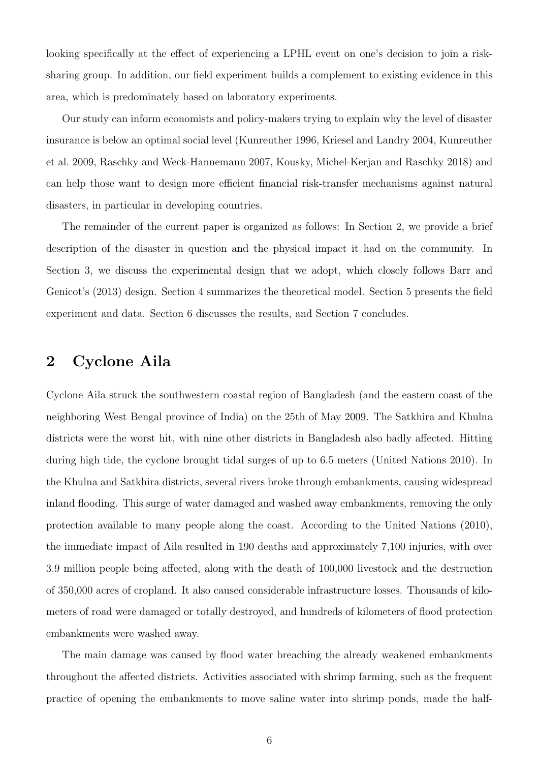looking specifically at the effect of experiencing a LPHL event on one's decision to join a risksharing group. In addition, our field experiment builds a complement to existing evidence in this area, which is predominately based on laboratory experiments.

Our study can inform economists and policy-makers trying to explain why the level of disaster insurance is below an optimal social level (Kunreuther 1996, Kriesel and Landry 2004, Kunreuther et al. 2009, Raschky and Weck-Hannemann 2007, Kousky, Michel-Kerjan and Raschky 2018) and can help those want to design more efficient financial risk-transfer mechanisms against natural disasters, in particular in developing countries.

The remainder of the current paper is organized as follows: In Section 2, we provide a brief description of the disaster in question and the physical impact it had on the community. In Section 3, we discuss the experimental design that we adopt, which closely follows Barr and Genicot's (2013) design. Section 4 summarizes the theoretical model. Section 5 presents the field experiment and data. Section 6 discusses the results, and Section 7 concludes.

## 2 Cyclone Aila

Cyclone Aila struck the southwestern coastal region of Bangladesh (and the eastern coast of the neighboring West Bengal province of India) on the 25th of May 2009. The Satkhira and Khulna districts were the worst hit, with nine other districts in Bangladesh also badly affected. Hitting during high tide, the cyclone brought tidal surges of up to 6.5 meters (United Nations 2010). In the Khulna and Satkhira districts, several rivers broke through embankments, causing widespread inland flooding. This surge of water damaged and washed away embankments, removing the only protection available to many people along the coast. According to the United Nations (2010), the immediate impact of Aila resulted in 190 deaths and approximately 7,100 injuries, with over 3.9 million people being affected, along with the death of 100,000 livestock and the destruction of 350,000 acres of cropland. It also caused considerable infrastructure losses. Thousands of kilometers of road were damaged or totally destroyed, and hundreds of kilometers of flood protection embankments were washed away.

The main damage was caused by flood water breaching the already weakened embankments throughout the affected districts. Activities associated with shrimp farming, such as the frequent practice of opening the embankments to move saline water into shrimp ponds, made the half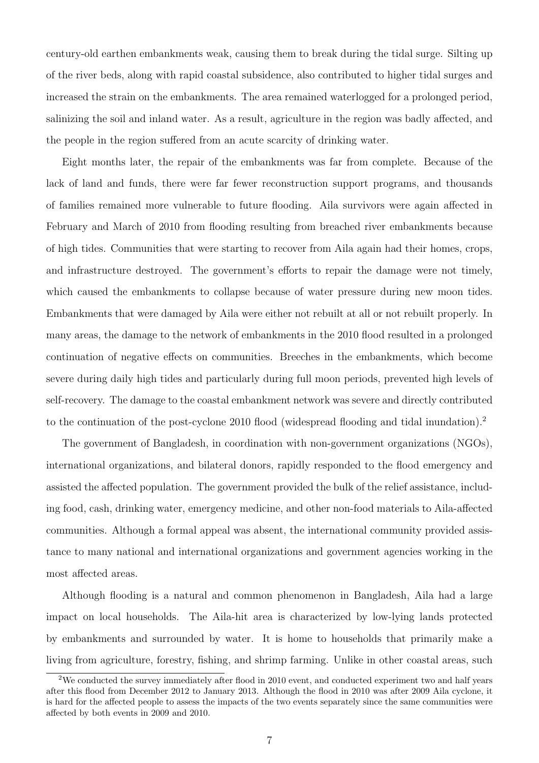century-old earthen embankments weak, causing them to break during the tidal surge. Silting up of the river beds, along with rapid coastal subsidence, also contributed to higher tidal surges and increased the strain on the embankments. The area remained waterlogged for a prolonged period, salinizing the soil and inland water. As a result, agriculture in the region was badly affected, and the people in the region suffered from an acute scarcity of drinking water.

Eight months later, the repair of the embankments was far from complete. Because of the lack of land and funds, there were far fewer reconstruction support programs, and thousands of families remained more vulnerable to future flooding. Aila survivors were again affected in February and March of 2010 from flooding resulting from breached river embankments because of high tides. Communities that were starting to recover from Aila again had their homes, crops, and infrastructure destroyed. The government's efforts to repair the damage were not timely, which caused the embankments to collapse because of water pressure during new moon tides. Embankments that were damaged by Aila were either not rebuilt at all or not rebuilt properly. In many areas, the damage to the network of embankments in the 2010 flood resulted in a prolonged continuation of negative effects on communities. Breeches in the embankments, which become severe during daily high tides and particularly during full moon periods, prevented high levels of self-recovery. The damage to the coastal embankment network was severe and directly contributed to the continuation of the post-cyclone [2](#page-0-0)010 flood (widespread flooding and tidal inundation).<sup>2</sup>

The government of Bangladesh, in coordination with non-government organizations (NGOs), international organizations, and bilateral donors, rapidly responded to the flood emergency and assisted the affected population. The government provided the bulk of the relief assistance, including food, cash, drinking water, emergency medicine, and other non-food materials to Aila-affected communities. Although a formal appeal was absent, the international community provided assistance to many national and international organizations and government agencies working in the most affected areas.

Although flooding is a natural and common phenomenon in Bangladesh, Aila had a large impact on local households. The Aila-hit area is characterized by low-lying lands protected by embankments and surrounded by water. It is home to households that primarily make a living from agriculture, forestry, fishing, and shrimp farming. Unlike in other coastal areas, such

<sup>&</sup>lt;sup>2</sup>We conducted the survey immediately after flood in 2010 event, and conducted experiment two and half years after this flood from December 2012 to January 2013. Although the flood in 2010 was after 2009 Aila cyclone, it is hard for the affected people to assess the impacts of the two events separately since the same communities were affected by both events in 2009 and 2010.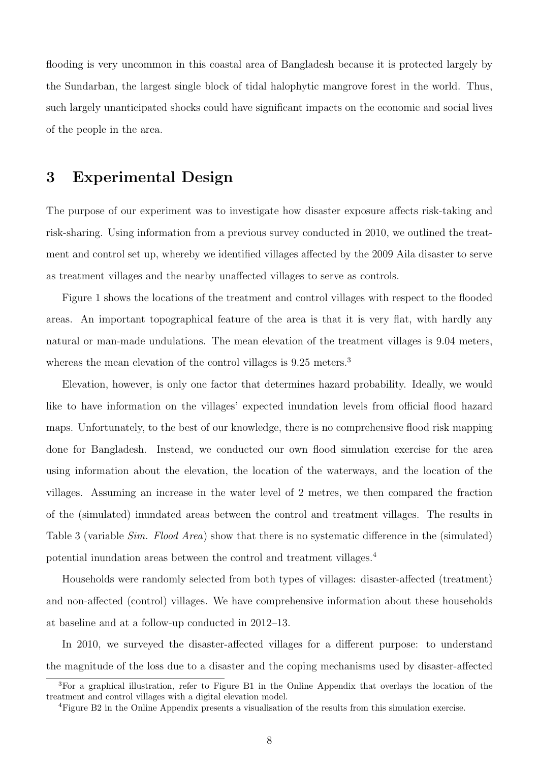flooding is very uncommon in this coastal area of Bangladesh because it is protected largely by the Sundarban, the largest single block of tidal halophytic mangrove forest in the world. Thus, such largely unanticipated shocks could have significant impacts on the economic and social lives of the people in the area.

## 3 Experimental Design

The purpose of our experiment was to investigate how disaster exposure affects risk-taking and risk-sharing. Using information from a previous survey conducted in 2010, we outlined the treatment and control set up, whereby we identified villages affected by the 2009 Aila disaster to serve as treatment villages and the nearby unaffected villages to serve as controls.

Figure [1](#page-8-0) shows the locations of the treatment and control villages with respect to the flooded areas. An important topographical feature of the area is that it is very flat, with hardly any natural or man-made undulations. The mean elevation of the treatment villages is 9.04 meters, whereas the mean elevation of the control villages is 9.25 meters.<sup>[3](#page-0-0)</sup>

Elevation, however, is only one factor that determines hazard probability. Ideally, we would like to have information on the villages' expected inundation levels from official flood hazard maps. Unfortunately, to the best of our knowledge, there is no comprehensive flood risk mapping done for Bangladesh. Instead, we conducted our own flood simulation exercise for the area using information about the elevation, the location of the waterways, and the location of the villages. Assuming an increase in the water level of 2 metres, we then compared the fraction of the (simulated) inundated areas between the control and treatment villages. The results in Table 3 (variable *Sim. Flood Area*) show that there is no systematic difference in the (simulated) potential inundation areas between the control and treatment villages.[4](#page-0-0)

Households were randomly selected from both types of villages: disaster-affected (treatment) and non-affected (control) villages. We have comprehensive information about these households at baseline and at a follow-up conducted in 2012–13.

In 2010, we surveyed the disaster-affected villages for a different purpose: to understand the magnitude of the loss due to a disaster and the coping mechanisms used by disaster-affected

<sup>3</sup>For a graphical illustration, refer to Figure B1 in the Online Appendix that overlays the location of the treatment and control villages with a digital elevation model.

<sup>4</sup>Figure B2 in the Online Appendix presents a visualisation of the results from this simulation exercise.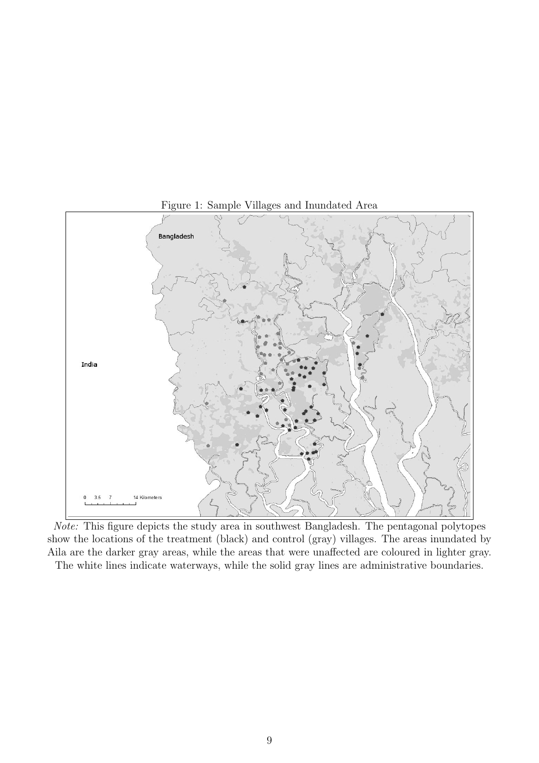

<span id="page-8-0"></span>Figure 1: Sample Villages and Inundated Area

Note: This figure depicts the study area in southwest Bangladesh. The pentagonal polytopes show the locations of the treatment (black) and control (gray) villages. The areas inundated by Aila are the darker gray areas, while the areas that were unaffected are coloured in lighter gray.

The white lines indicate waterways, while the solid gray lines are administrative boundaries.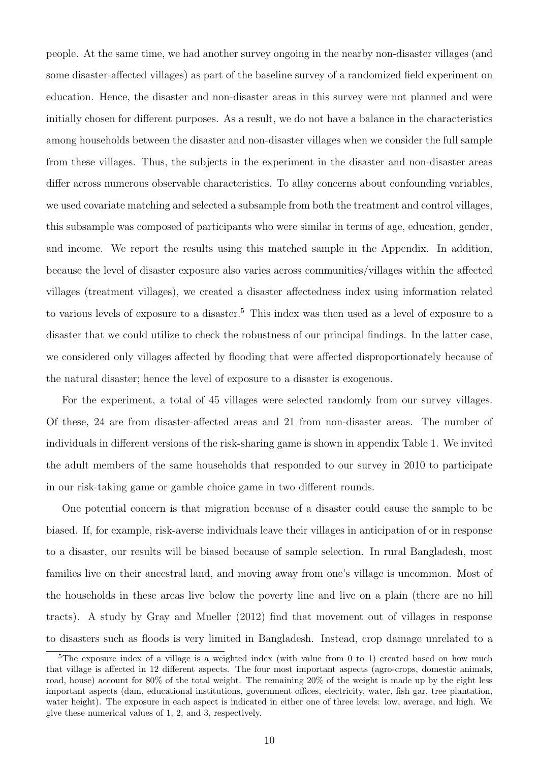people. At the same time, we had another survey ongoing in the nearby non-disaster villages (and some disaster-affected villages) as part of the baseline survey of a randomized field experiment on education. Hence, the disaster and non-disaster areas in this survey were not planned and were initially chosen for different purposes. As a result, we do not have a balance in the characteristics among households between the disaster and non-disaster villages when we consider the full sample from these villages. Thus, the subjects in the experiment in the disaster and non-disaster areas differ across numerous observable characteristics. To allay concerns about confounding variables, we used covariate matching and selected a subsample from both the treatment and control villages, this subsample was composed of participants who were similar in terms of age, education, gender, and income. We report the results using this matched sample in the Appendix. In addition, because the level of disaster exposure also varies across communities/villages within the affected villages (treatment villages), we created a disaster affectedness index using information related to various levels of exposure to a disaster.[5](#page-0-0) This index was then used as a level of exposure to a disaster that we could utilize to check the robustness of our principal findings. In the latter case, we considered only villages affected by flooding that were affected disproportionately because of the natural disaster; hence the level of exposure to a disaster is exogenous.

For the experiment, a total of 45 villages were selected randomly from our survey villages. Of these, 24 are from disaster-affected areas and 21 from non-disaster areas. The number of individuals in different versions of the risk-sharing game is shown in appendix Table 1. We invited the adult members of the same households that responded to our survey in 2010 to participate in our risk-taking game or gamble choice game in two different rounds.

One potential concern is that migration because of a disaster could cause the sample to be biased. If, for example, risk-averse individuals leave their villages in anticipation of or in response to a disaster, our results will be biased because of sample selection. In rural Bangladesh, most families live on their ancestral land, and moving away from one's village is uncommon. Most of the households in these areas live below the poverty line and live on a plain (there are no hill tracts). A study by Gray and Mueller (2012) find that movement out of villages in response to disasters such as floods is very limited in Bangladesh. Instead, crop damage unrelated to a

<sup>&</sup>lt;sup>5</sup>The exposure index of a village is a weighted index (with value from 0 to 1) created based on how much that village is affected in 12 different aspects. The four most important aspects (agro-crops, domestic animals, road, house) account for 80% of the total weight. The remaining 20% of the weight is made up by the eight less important aspects (dam, educational institutions, government offices, electricity, water, fish gar, tree plantation, water height). The exposure in each aspect is indicated in either one of three levels: low, average, and high. We give these numerical values of 1, 2, and 3, respectively.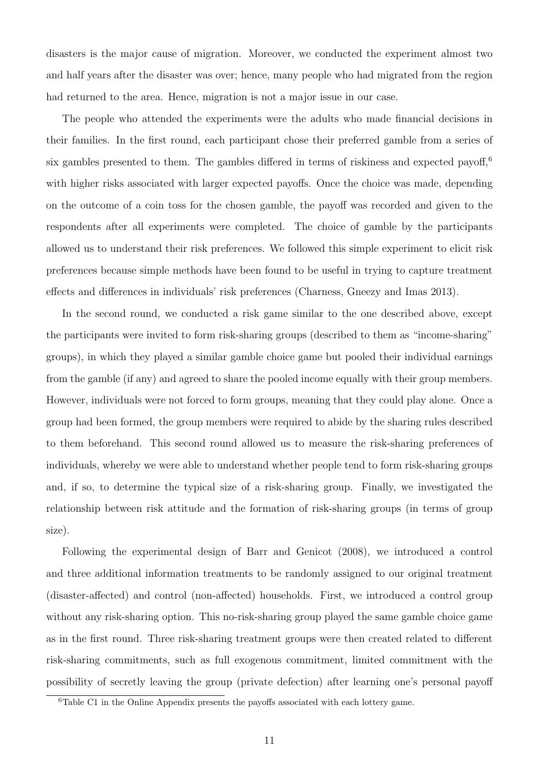disasters is the major cause of migration. Moreover, we conducted the experiment almost two and half years after the disaster was over; hence, many people who had migrated from the region had returned to the area. Hence, migration is not a major issue in our case.

The people who attended the experiments were the adults who made financial decisions in their families. In the first round, each participant chose their preferred gamble from a series of six gambles presented to them. The gambles differed in terms of riskiness and expected payoff,<sup>[6](#page-0-0)</sup> with higher risks associated with larger expected payoffs. Once the choice was made, depending on the outcome of a coin toss for the chosen gamble, the payoff was recorded and given to the respondents after all experiments were completed. The choice of gamble by the participants allowed us to understand their risk preferences. We followed this simple experiment to elicit risk preferences because simple methods have been found to be useful in trying to capture treatment effects and differences in individuals' risk preferences (Charness, Gneezy and Imas 2013).

In the second round, we conducted a risk game similar to the one described above, except the participants were invited to form risk-sharing groups (described to them as "income-sharing" groups), in which they played a similar gamble choice game but pooled their individual earnings from the gamble (if any) and agreed to share the pooled income equally with their group members. However, individuals were not forced to form groups, meaning that they could play alone. Once a group had been formed, the group members were required to abide by the sharing rules described to them beforehand. This second round allowed us to measure the risk-sharing preferences of individuals, whereby we were able to understand whether people tend to form risk-sharing groups and, if so, to determine the typical size of a risk-sharing group. Finally, we investigated the relationship between risk attitude and the formation of risk-sharing groups (in terms of group size).

Following the experimental design of Barr and Genicot (2008), we introduced a control and three additional information treatments to be randomly assigned to our original treatment (disaster-affected) and control (non-affected) households. First, we introduced a control group without any risk-sharing option. This no-risk-sharing group played the same gamble choice game as in the first round. Three risk-sharing treatment groups were then created related to different risk-sharing commitments, such as full exogenous commitment, limited commitment with the possibility of secretly leaving the group (private defection) after learning one's personal payoff

<sup>&</sup>lt;sup>6</sup>Table C1 in the Online Appendix presents the payoffs associated with each lottery game.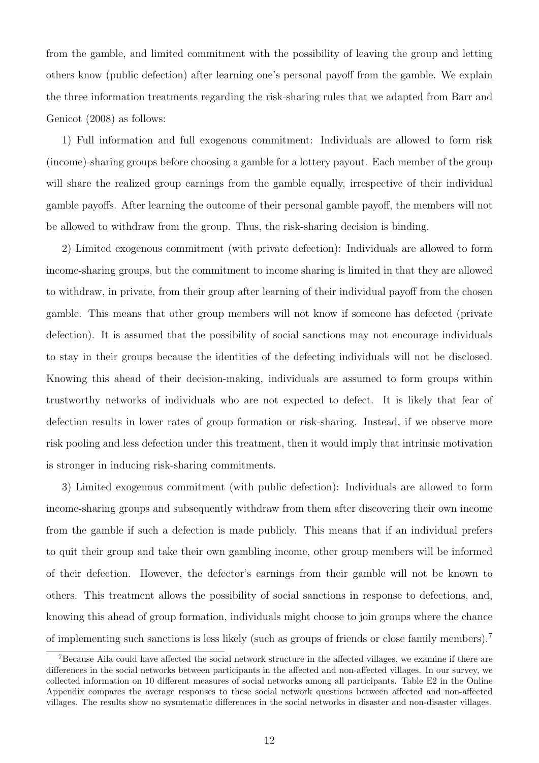from the gamble, and limited commitment with the possibility of leaving the group and letting others know (public defection) after learning one's personal payoff from the gamble. We explain the three information treatments regarding the risk-sharing rules that we adapted from Barr and Genicot (2008) as follows:

1) Full information and full exogenous commitment: Individuals are allowed to form risk (income)-sharing groups before choosing a gamble for a lottery payout. Each member of the group will share the realized group earnings from the gamble equally, irrespective of their individual gamble payoffs. After learning the outcome of their personal gamble payoff, the members will not be allowed to withdraw from the group. Thus, the risk-sharing decision is binding.

2) Limited exogenous commitment (with private defection): Individuals are allowed to form income-sharing groups, but the commitment to income sharing is limited in that they are allowed to withdraw, in private, from their group after learning of their individual payoff from the chosen gamble. This means that other group members will not know if someone has defected (private defection). It is assumed that the possibility of social sanctions may not encourage individuals to stay in their groups because the identities of the defecting individuals will not be disclosed. Knowing this ahead of their decision-making, individuals are assumed to form groups within trustworthy networks of individuals who are not expected to defect. It is likely that fear of defection results in lower rates of group formation or risk-sharing. Instead, if we observe more risk pooling and less defection under this treatment, then it would imply that intrinsic motivation is stronger in inducing risk-sharing commitments.

3) Limited exogenous commitment (with public defection): Individuals are allowed to form income-sharing groups and subsequently withdraw from them after discovering their own income from the gamble if such a defection is made publicly. This means that if an individual prefers to quit their group and take their own gambling income, other group members will be informed of their defection. However, the defector's earnings from their gamble will not be known to others. This treatment allows the possibility of social sanctions in response to defections, and, knowing this ahead of group formation, individuals might choose to join groups where the chance of implementing such sanctions is less likely (such as groups of friends or close family members).[7](#page-0-0)

<sup>&</sup>lt;sup>7</sup>Because Aila could have affected the social network structure in the affected villages, we examine if there are differences in the social networks between participants in the affected and non-affected villages. In our survey, we collected information on 10 different measures of social networks among all participants. Table E2 in the Online Appendix compares the average responses to these social network questions between affected and non-affected villages. The results show no sysmtematic differences in the social networks in disaster and non-disaster villages.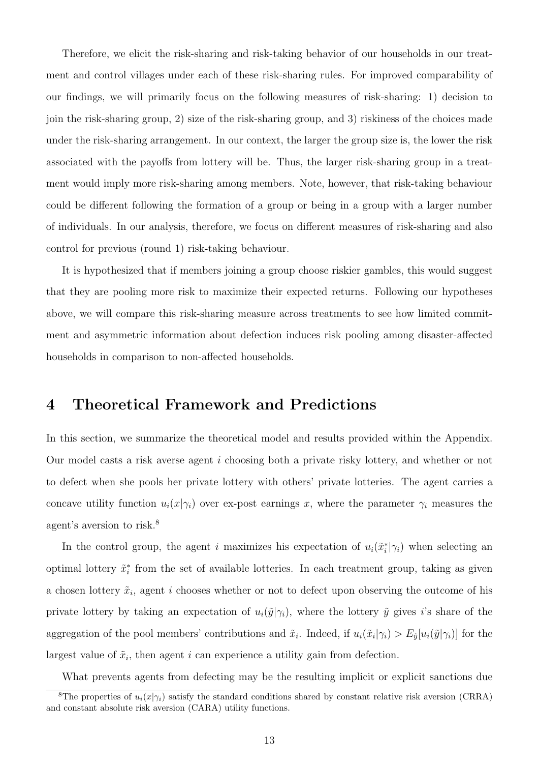Therefore, we elicit the risk-sharing and risk-taking behavior of our households in our treatment and control villages under each of these risk-sharing rules. For improved comparability of our findings, we will primarily focus on the following measures of risk-sharing: 1) decision to join the risk-sharing group, 2) size of the risk-sharing group, and 3) riskiness of the choices made under the risk-sharing arrangement. In our context, the larger the group size is, the lower the risk associated with the payoffs from lottery will be. Thus, the larger risk-sharing group in a treatment would imply more risk-sharing among members. Note, however, that risk-taking behaviour could be different following the formation of a group or being in a group with a larger number of individuals. In our analysis, therefore, we focus on different measures of risk-sharing and also control for previous (round 1) risk-taking behaviour.

It is hypothesized that if members joining a group choose riskier gambles, this would suggest that they are pooling more risk to maximize their expected returns. Following our hypotheses above, we will compare this risk-sharing measure across treatments to see how limited commitment and asymmetric information about defection induces risk pooling among disaster-affected households in comparison to non-affected households.

## 4 Theoretical Framework and Predictions

In this section, we summarize the theoretical model and results provided within the Appendix. Our model casts a risk averse agent i choosing both a private risky lottery, and whether or not to defect when she pools her private lottery with others' private lotteries. The agent carries a concave utility function  $u_i(x|\gamma_i)$  over ex-post earnings x, where the parameter  $\gamma_i$  measures the agent's aversion to risk.<sup>[8](#page-0-0)</sup>

In the control group, the agent i maximizes his expectation of  $u_i(\tilde{x}_i^*|\gamma_i)$  when selecting an optimal lottery  $\tilde{x}_i^*$  from the set of available lotteries. In each treatment group, taking as given a chosen lottery  $\tilde{x}_i$ , agent i chooses whether or not to defect upon observing the outcome of his private lottery by taking an expectation of  $u_i(\tilde{y}|\gamma_i)$ , where the lottery  $\tilde{y}$  gives i's share of the aggregation of the pool members' contributions and  $\tilde{x}_i$ . Indeed, if  $u_i(\tilde{x}_i|\gamma_i) > E_{\tilde{y}}[u_i(\tilde{y}|\gamma_i)]$  for the largest value of  $\tilde{x}_i$ , then agent i can experience a utility gain from defection.

What prevents agents from defecting may be the resulting implicit or explicit sanctions due

<sup>&</sup>lt;sup>8</sup>The properties of  $u_i(x|\gamma_i)$  satisfy the standard conditions shared by constant relative risk aversion (CRRA) and constant absolute risk aversion (CARA) utility functions.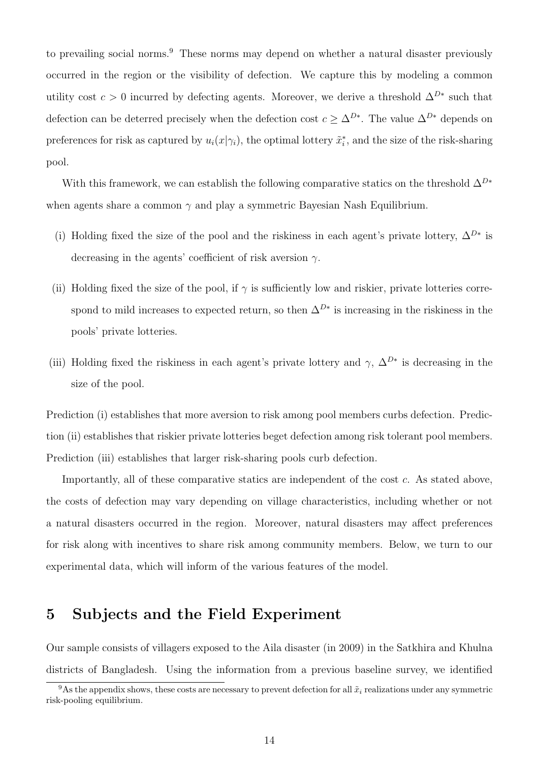to prevailing social norms.<sup>[9](#page-0-0)</sup> These norms may depend on whether a natural disaster previously occurred in the region or the visibility of defection. We capture this by modeling a common utility cost  $c > 0$  incurred by defecting agents. Moreover, we derive a threshold  $\Delta^{D*}$  such that defection can be deterred precisely when the defection cost  $c \geq \Delta^{D*}$ . The value  $\Delta^{D*}$  depends on preferences for risk as captured by  $u_i(x|\gamma_i)$ , the optimal lottery  $\tilde{x}_i^*$ , and the size of the risk-sharing pool.

With this framework, we can establish the following comparative statics on the threshold  $\Delta^{D*}$ when agents share a common  $\gamma$  and play a symmetric Bayesian Nash Equilibrium.

- (i) Holding fixed the size of the pool and the riskiness in each agent's private lottery,  $\Delta^{D*}$  is decreasing in the agents' coefficient of risk aversion  $\gamma$ .
- (ii) Holding fixed the size of the pool, if  $\gamma$  is sufficiently low and riskier, private lotteries correspond to mild increases to expected return, so then  $\Delta^{D*}$  is increasing in the riskiness in the pools' private lotteries.
- (iii) Holding fixed the riskiness in each agent's private lottery and  $\gamma$ ,  $\Delta^{D*}$  is decreasing in the size of the pool.

Prediction (i) establishes that more aversion to risk among pool members curbs defection. Prediction (ii) establishes that riskier private lotteries beget defection among risk tolerant pool members. Prediction (iii) establishes that larger risk-sharing pools curb defection.

Importantly, all of these comparative statics are independent of the cost c. As stated above, the costs of defection may vary depending on village characteristics, including whether or not a natural disasters occurred in the region. Moreover, natural disasters may affect preferences for risk along with incentives to share risk among community members. Below, we turn to our experimental data, which will inform of the various features of the model.

## 5 Subjects and the Field Experiment

Our sample consists of villagers exposed to the Aila disaster (in 2009) in the Satkhira and Khulna districts of Bangladesh. Using the information from a previous baseline survey, we identified

<sup>&</sup>lt;sup>9</sup>As the appendix shows, these costs are necessary to prevent defection for all  $\tilde{x}_i$  realizations under any symmetric risk-pooling equilibrium.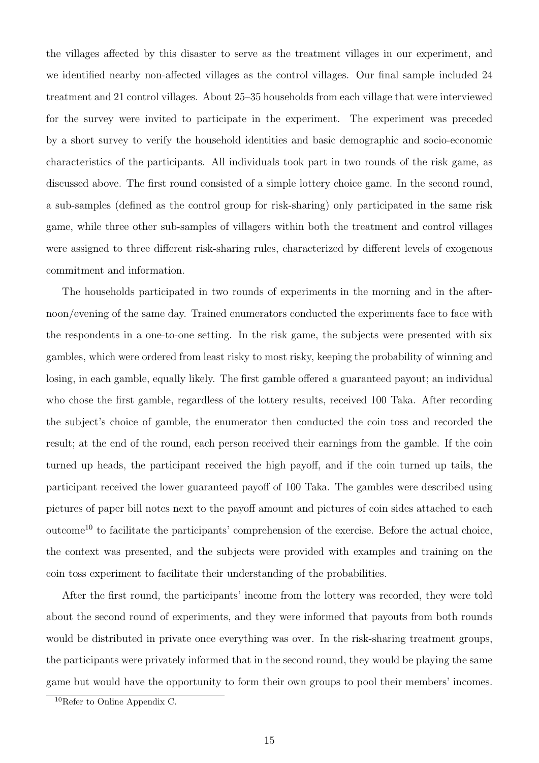the villages affected by this disaster to serve as the treatment villages in our experiment, and we identified nearby non-affected villages as the control villages. Our final sample included 24 treatment and 21 control villages. About 25–35 households from each village that were interviewed for the survey were invited to participate in the experiment. The experiment was preceded by a short survey to verify the household identities and basic demographic and socio-economic characteristics of the participants. All individuals took part in two rounds of the risk game, as discussed above. The first round consisted of a simple lottery choice game. In the second round, a sub-samples (defined as the control group for risk-sharing) only participated in the same risk game, while three other sub-samples of villagers within both the treatment and control villages were assigned to three different risk-sharing rules, characterized by different levels of exogenous commitment and information.

The households participated in two rounds of experiments in the morning and in the afternoon/evening of the same day. Trained enumerators conducted the experiments face to face with the respondents in a one-to-one setting. In the risk game, the subjects were presented with six gambles, which were ordered from least risky to most risky, keeping the probability of winning and losing, in each gamble, equally likely. The first gamble offered a guaranteed payout; an individual who chose the first gamble, regardless of the lottery results, received 100 Taka. After recording the subject's choice of gamble, the enumerator then conducted the coin toss and recorded the result; at the end of the round, each person received their earnings from the gamble. If the coin turned up heads, the participant received the high payoff, and if the coin turned up tails, the participant received the lower guaranteed payoff of 100 Taka. The gambles were described using pictures of paper bill notes next to the payoff amount and pictures of coin sides attached to each outcome<sup>[10](#page-0-0)</sup> to facilitate the participants' comprehension of the exercise. Before the actual choice, the context was presented, and the subjects were provided with examples and training on the coin toss experiment to facilitate their understanding of the probabilities.

After the first round, the participants' income from the lottery was recorded, they were told about the second round of experiments, and they were informed that payouts from both rounds would be distributed in private once everything was over. In the risk-sharing treatment groups, the participants were privately informed that in the second round, they would be playing the same game but would have the opportunity to form their own groups to pool their members' incomes.

<sup>10</sup>Refer to Online Appendix C.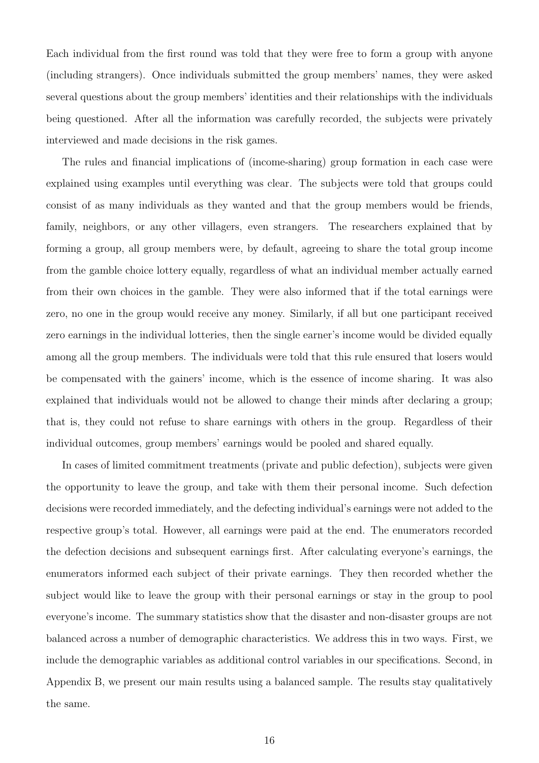Each individual from the first round was told that they were free to form a group with anyone (including strangers). Once individuals submitted the group members' names, they were asked several questions about the group members' identities and their relationships with the individuals being questioned. After all the information was carefully recorded, the subjects were privately interviewed and made decisions in the risk games.

The rules and financial implications of (income-sharing) group formation in each case were explained using examples until everything was clear. The subjects were told that groups could consist of as many individuals as they wanted and that the group members would be friends, family, neighbors, or any other villagers, even strangers. The researchers explained that by forming a group, all group members were, by default, agreeing to share the total group income from the gamble choice lottery equally, regardless of what an individual member actually earned from their own choices in the gamble. They were also informed that if the total earnings were zero, no one in the group would receive any money. Similarly, if all but one participant received zero earnings in the individual lotteries, then the single earner's income would be divided equally among all the group members. The individuals were told that this rule ensured that losers would be compensated with the gainers' income, which is the essence of income sharing. It was also explained that individuals would not be allowed to change their minds after declaring a group; that is, they could not refuse to share earnings with others in the group. Regardless of their individual outcomes, group members' earnings would be pooled and shared equally.

In cases of limited commitment treatments (private and public defection), subjects were given the opportunity to leave the group, and take with them their personal income. Such defection decisions were recorded immediately, and the defecting individual's earnings were not added to the respective group's total. However, all earnings were paid at the end. The enumerators recorded the defection decisions and subsequent earnings first. After calculating everyone's earnings, the enumerators informed each subject of their private earnings. They then recorded whether the subject would like to leave the group with their personal earnings or stay in the group to pool everyone's income. The summary statistics show that the disaster and non-disaster groups are not balanced across a number of demographic characteristics. We address this in two ways. First, we include the demographic variables as additional control variables in our specifications. Second, in Appendix B, we present our main results using a balanced sample. The results stay qualitatively the same.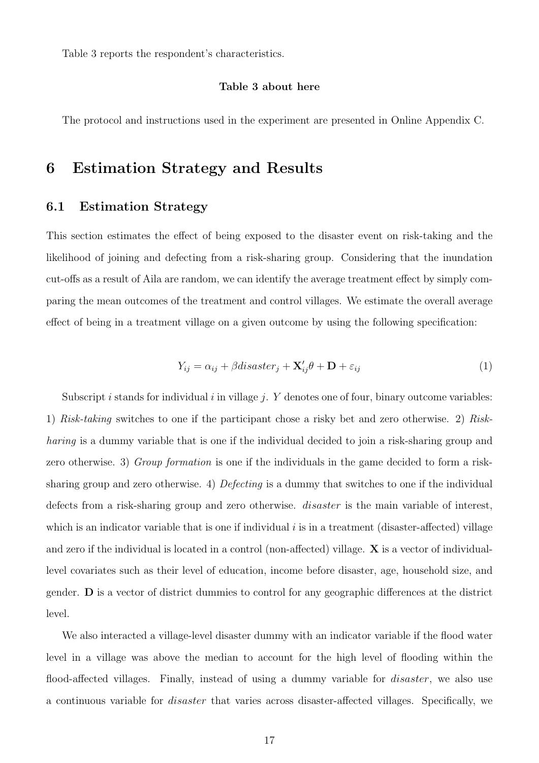Table [3](#page-33-0) reports the respondent's characteristics.

### Table [3](#page-33-0) about here

The protocol and instructions used in the experiment are presented in Online Appendix C.

## 6 Estimation Strategy and Results

### 6.1 Estimation Strategy

This section estimates the effect of being exposed to the disaster event on risk-taking and the likelihood of joining and defecting from a risk-sharing group. Considering that the inundation cut-offs as a result of Aila are random, we can identify the average treatment effect by simply comparing the mean outcomes of the treatment and control villages. We estimate the overall average effect of being in a treatment village on a given outcome by using the following specification:

$$
Y_{ij} = \alpha_{ij} + \beta dissaster_j + \mathbf{X}'_{ij}\theta + \mathbf{D} + \varepsilon_{ij}
$$
 (1)

<span id="page-16-0"></span>Subscript i stands for individual i in village j. Y denotes one of four, binary outcome variables: 1) Risk-taking switches to one if the participant chose a risky bet and zero otherwise. 2) Riskharing is a dummy variable that is one if the individual decided to join a risk-sharing group and zero otherwise. 3) Group formation is one if the individuals in the game decided to form a risksharing group and zero otherwise. 4) Defecting is a dummy that switches to one if the individual defects from a risk-sharing group and zero otherwise. *disaster* is the main variable of interest, which is an indicator variable that is one if individual  $i$  is in a treatment (disaster-affected) village and zero if the individual is located in a control (non-affected) village. X is a vector of individuallevel covariates such as their level of education, income before disaster, age, household size, and gender. D is a vector of district dummies to control for any geographic differences at the district level.

We also interacted a village-level disaster dummy with an indicator variable if the flood water level in a village was above the median to account for the high level of flooding within the flood-affected villages. Finally, instead of using a dummy variable for *disaster*, we also use a continuous variable for disaster that varies across disaster-affected villages. Specifically, we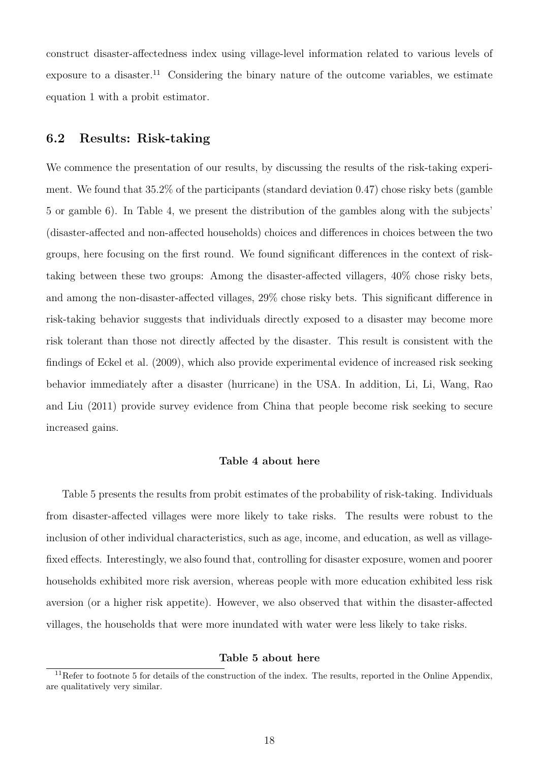construct disaster-affectedness index using village-level information related to various levels of exposure to a disaster.<sup>[11](#page-0-0)</sup> Considering the binary nature of the outcome variables, we estimate equation [1](#page-16-0) with a probit estimator.

## 6.2 Results: Risk-taking

We commence the presentation of our results, by discussing the results of the risk-taking experiment. We found that 35.2% of the participants (standard deviation 0.47) chose risky bets (gamble 5 or gamble 6). In Table [4,](#page-34-0) we present the distribution of the gambles along with the subjects' (disaster-affected and non-affected households) choices and differences in choices between the two groups, here focusing on the first round. We found significant differences in the context of risktaking between these two groups: Among the disaster-affected villagers, 40% chose risky bets, and among the non-disaster-affected villages, 29% chose risky bets. This significant difference in risk-taking behavior suggests that individuals directly exposed to a disaster may become more risk tolerant than those not directly affected by the disaster. This result is consistent with the findings of Eckel et al. (2009), which also provide experimental evidence of increased risk seeking behavior immediately after a disaster (hurricane) in the USA. In addition, Li, Li, Wang, Rao and Liu (2011) provide survey evidence from China that people become risk seeking to secure increased gains.

### Table [4](#page-34-0) about here

Table [5](#page-35-0) presents the results from probit estimates of the probability of risk-taking. Individuals from disaster-affected villages were more likely to take risks. The results were robust to the inclusion of other individual characteristics, such as age, income, and education, as well as villagefixed effects. Interestingly, we also found that, controlling for disaster exposure, women and poorer households exhibited more risk aversion, whereas people with more education exhibited less risk aversion (or a higher risk appetite). However, we also observed that within the disaster-affected villages, the households that were more inundated with water were less likely to take risks.

#### Table [5](#page-35-0) about here

 $11$ Refer to footnote 5 for details of the construction of the index. The results, reported in the Online Appendix, are qualitatively very similar.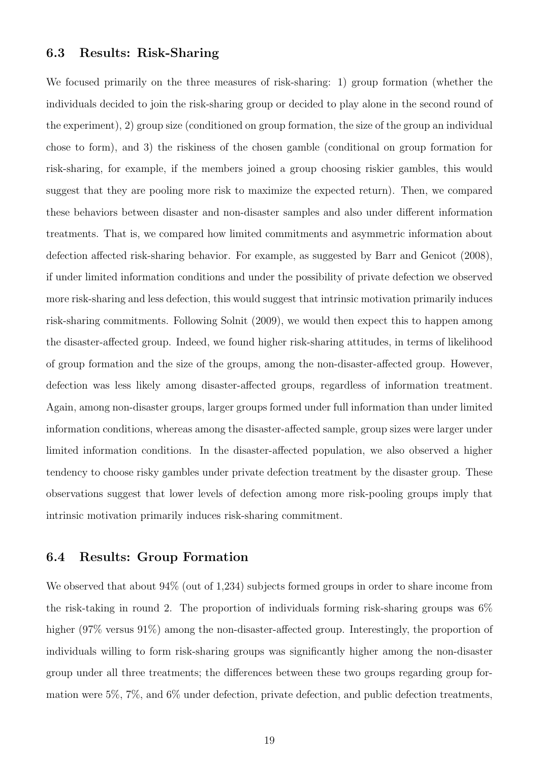### 6.3 Results: Risk-Sharing

We focused primarily on the three measures of risk-sharing: 1) group formation (whether the individuals decided to join the risk-sharing group or decided to play alone in the second round of the experiment), 2) group size (conditioned on group formation, the size of the group an individual chose to form), and 3) the riskiness of the chosen gamble (conditional on group formation for risk-sharing, for example, if the members joined a group choosing riskier gambles, this would suggest that they are pooling more risk to maximize the expected return). Then, we compared these behaviors between disaster and non-disaster samples and also under different information treatments. That is, we compared how limited commitments and asymmetric information about defection affected risk-sharing behavior. For example, as suggested by Barr and Genicot (2008), if under limited information conditions and under the possibility of private defection we observed more risk-sharing and less defection, this would suggest that intrinsic motivation primarily induces risk-sharing commitments. Following Solnit (2009), we would then expect this to happen among the disaster-affected group. Indeed, we found higher risk-sharing attitudes, in terms of likelihood of group formation and the size of the groups, among the non-disaster-affected group. However, defection was less likely among disaster-affected groups, regardless of information treatment. Again, among non-disaster groups, larger groups formed under full information than under limited information conditions, whereas among the disaster-affected sample, group sizes were larger under limited information conditions. In the disaster-affected population, we also observed a higher tendency to choose risky gambles under private defection treatment by the disaster group. These observations suggest that lower levels of defection among more risk-pooling groups imply that intrinsic motivation primarily induces risk-sharing commitment.

### 6.4 Results: Group Formation

We observed that about  $94\%$  (out of 1,234) subjects formed groups in order to share income from the risk-taking in round 2. The proportion of individuals forming risk-sharing groups was  $6\%$ higher (97% versus 91%) among the non-disaster-affected group. Interestingly, the proportion of individuals willing to form risk-sharing groups was significantly higher among the non-disaster group under all three treatments; the differences between these two groups regarding group formation were 5%, 7%, and 6% under defection, private defection, and public defection treatments,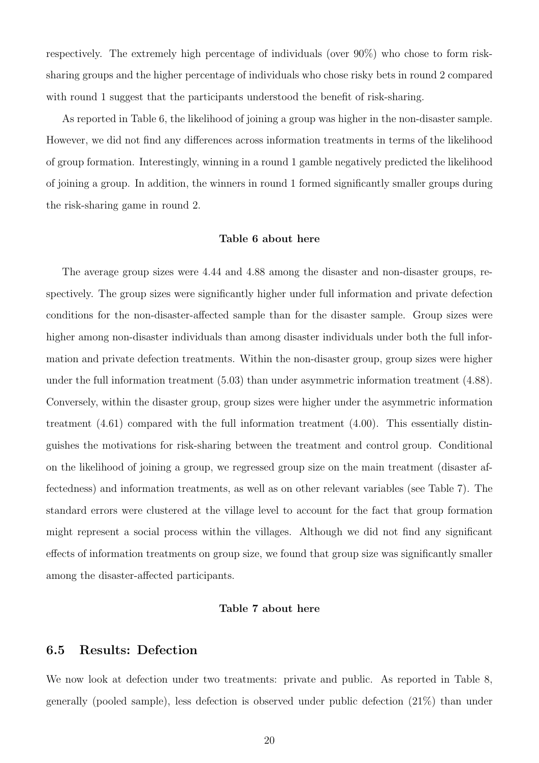respectively. The extremely high percentage of individuals (over 90%) who chose to form risksharing groups and the higher percentage of individuals who chose risky bets in round 2 compared with round 1 suggest that the participants understood the benefit of risk-sharing.

As reported in Table [6,](#page-36-0) the likelihood of joining a group was higher in the non-disaster sample. However, we did not find any differences across information treatments in terms of the likelihood of group formation. Interestingly, winning in a round 1 gamble negatively predicted the likelihood of joining a group. In addition, the winners in round 1 formed significantly smaller groups during the risk-sharing game in round 2.

#### Table [6](#page-36-0) about here

The average group sizes were 4.44 and 4.88 among the disaster and non-disaster groups, respectively. The group sizes were significantly higher under full information and private defection conditions for the non-disaster-affected sample than for the disaster sample. Group sizes were higher among non-disaster individuals than among disaster individuals under both the full information and private defection treatments. Within the non-disaster group, group sizes were higher under the full information treatment (5.03) than under asymmetric information treatment (4.88). Conversely, within the disaster group, group sizes were higher under the asymmetric information treatment (4.61) compared with the full information treatment (4.00). This essentially distinguishes the motivations for risk-sharing between the treatment and control group. Conditional on the likelihood of joining a group, we regressed group size on the main treatment (disaster affectedness) and information treatments, as well as on other relevant variables (see Table [7\)](#page-37-0). The standard errors were clustered at the village level to account for the fact that group formation might represent a social process within the villages. Although we did not find any significant effects of information treatments on group size, we found that group size was significantly smaller among the disaster-affected participants.

#### Table [7](#page-37-0) about here

## 6.5 Results: Defection

We now look at defection under two treatments: private and public. As reported in Table [8,](#page-38-0) generally (pooled sample), less defection is observed under public defection (21%) than under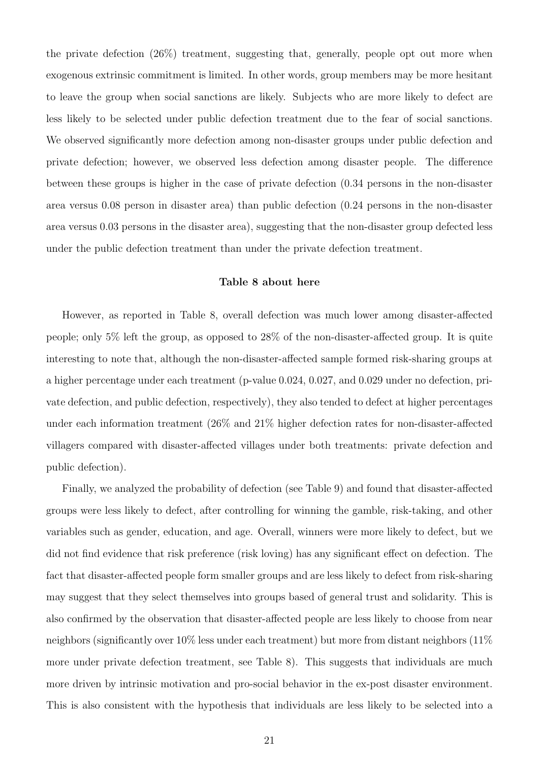the private defection (26%) treatment, suggesting that, generally, people opt out more when exogenous extrinsic commitment is limited. In other words, group members may be more hesitant to leave the group when social sanctions are likely. Subjects who are more likely to defect are less likely to be selected under public defection treatment due to the fear of social sanctions. We observed significantly more defection among non-disaster groups under public defection and private defection; however, we observed less defection among disaster people. The difference between these groups is higher in the case of private defection (0.34 persons in the non-disaster area versus 0.08 person in disaster area) than public defection (0.24 persons in the non-disaster area versus 0.03 persons in the disaster area), suggesting that the non-disaster group defected less under the public defection treatment than under the private defection treatment.

#### Table [8](#page-38-0) about here

However, as reported in Table [8,](#page-38-0) overall defection was much lower among disaster-affected people; only 5% left the group, as opposed to 28% of the non-disaster-affected group. It is quite interesting to note that, although the non-disaster-affected sample formed risk-sharing groups at a higher percentage under each treatment (p-value 0.024, 0.027, and 0.029 under no defection, private defection, and public defection, respectively), they also tended to defect at higher percentages under each information treatment (26% and 21% higher defection rates for non-disaster-affected villagers compared with disaster-affected villages under both treatments: private defection and public defection).

Finally, we analyzed the probability of defection (see Table [9\)](#page-39-0) and found that disaster-affected groups were less likely to defect, after controlling for winning the gamble, risk-taking, and other variables such as gender, education, and age. Overall, winners were more likely to defect, but we did not find evidence that risk preference (risk loving) has any significant effect on defection. The fact that disaster-affected people form smaller groups and are less likely to defect from risk-sharing may suggest that they select themselves into groups based of general trust and solidarity. This is also confirmed by the observation that disaster-affected people are less likely to choose from near neighbors (significantly over  $10\%$  less under each treatment) but more from distant neighbors (11%) more under private defection treatment, see Table [8\)](#page-38-0). This suggests that individuals are much more driven by intrinsic motivation and pro-social behavior in the ex-post disaster environment. This is also consistent with the hypothesis that individuals are less likely to be selected into a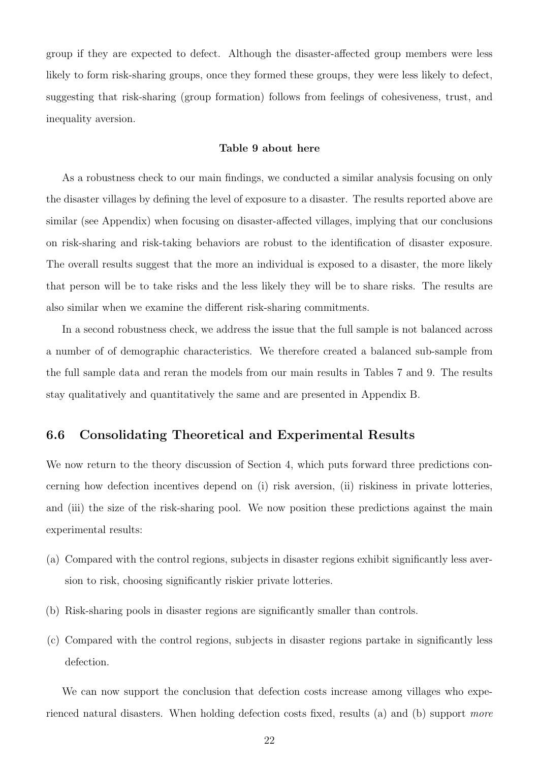group if they are expected to defect. Although the disaster-affected group members were less likely to form risk-sharing groups, once they formed these groups, they were less likely to defect, suggesting that risk-sharing (group formation) follows from feelings of cohesiveness, trust, and inequality aversion.

### Table [9](#page-39-0) about here

As a robustness check to our main findings, we conducted a similar analysis focusing on only the disaster villages by defining the level of exposure to a disaster. The results reported above are similar (see Appendix) when focusing on disaster-affected villages, implying that our conclusions on risk-sharing and risk-taking behaviors are robust to the identification of disaster exposure. The overall results suggest that the more an individual is exposed to a disaster, the more likely that person will be to take risks and the less likely they will be to share risks. The results are also similar when we examine the different risk-sharing commitments.

In a second robustness check, we address the issue that the full sample is not balanced across a number of of demographic characteristics. We therefore created a balanced sub-sample from the full sample data and reran the models from our main results in Tables [7](#page-37-0) and [9.](#page-39-0) The results stay qualitatively and quantitatively the same and are presented in Appendix B.

## 6.6 Consolidating Theoretical and Experimental Results

We now return to the theory discussion of Section 4, which puts forward three predictions concerning how defection incentives depend on (i) risk aversion, (ii) riskiness in private lotteries, and (iii) the size of the risk-sharing pool. We now position these predictions against the main experimental results:

- (a) Compared with the control regions, subjects in disaster regions exhibit significantly less aversion to risk, choosing significantly riskier private lotteries.
- (b) Risk-sharing pools in disaster regions are significantly smaller than controls.
- (c) Compared with the control regions, subjects in disaster regions partake in significantly less defection.

We can now support the conclusion that defection costs increase among villages who experienced natural disasters. When holding defection costs fixed, results (a) and (b) support more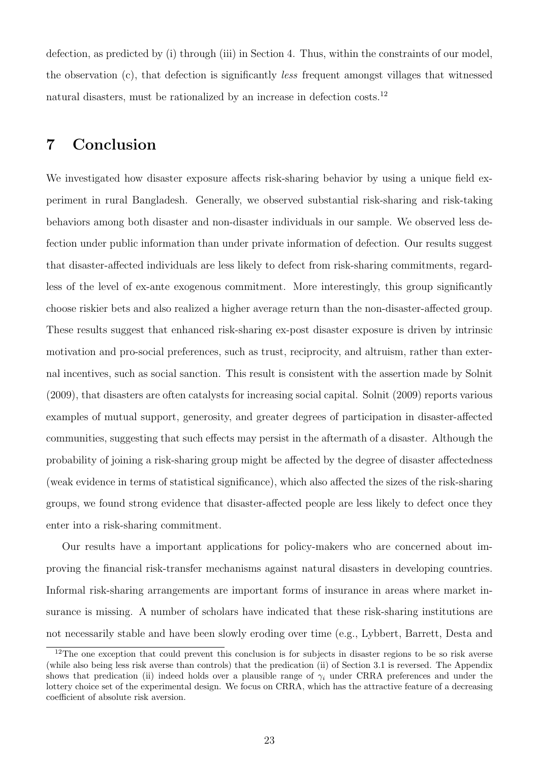defection, as predicted by (i) through (iii) in Section 4. Thus, within the constraints of our model, the observation (c), that defection is significantly less frequent amongst villages that witnessed natural disasters, must be rationalized by an increase in defection costs.<sup>[12](#page-0-0)</sup>

## 7 Conclusion

We investigated how disaster exposure affects risk-sharing behavior by using a unique field experiment in rural Bangladesh. Generally, we observed substantial risk-sharing and risk-taking behaviors among both disaster and non-disaster individuals in our sample. We observed less defection under public information than under private information of defection. Our results suggest that disaster-affected individuals are less likely to defect from risk-sharing commitments, regardless of the level of ex-ante exogenous commitment. More interestingly, this group significantly choose riskier bets and also realized a higher average return than the non-disaster-affected group. These results suggest that enhanced risk-sharing ex-post disaster exposure is driven by intrinsic motivation and pro-social preferences, such as trust, reciprocity, and altruism, rather than external incentives, such as social sanction. This result is consistent with the assertion made by Solnit (2009), that disasters are often catalysts for increasing social capital. Solnit (2009) reports various examples of mutual support, generosity, and greater degrees of participation in disaster-affected communities, suggesting that such effects may persist in the aftermath of a disaster. Although the probability of joining a risk-sharing group might be affected by the degree of disaster affectedness (weak evidence in terms of statistical significance), which also affected the sizes of the risk-sharing groups, we found strong evidence that disaster-affected people are less likely to defect once they enter into a risk-sharing commitment.

Our results have a important applications for policy-makers who are concerned about improving the financial risk-transfer mechanisms against natural disasters in developing countries. Informal risk-sharing arrangements are important forms of insurance in areas where market insurance is missing. A number of scholars have indicated that these risk-sharing institutions are not necessarily stable and have been slowly eroding over time (e.g., Lybbert, Barrett, Desta and

<sup>&</sup>lt;sup>12</sup>The one exception that could prevent this conclusion is for subjects in disaster regions to be so risk averse (while also being less risk averse than controls) that the predication (ii) of Section 3.1 is reversed. The Appendix shows that predication (ii) indeed holds over a plausible range of  $\gamma_i$  under CRRA preferences and under the lottery choice set of the experimental design. We focus on CRRA, which has the attractive feature of a decreasing coefficient of absolute risk aversion.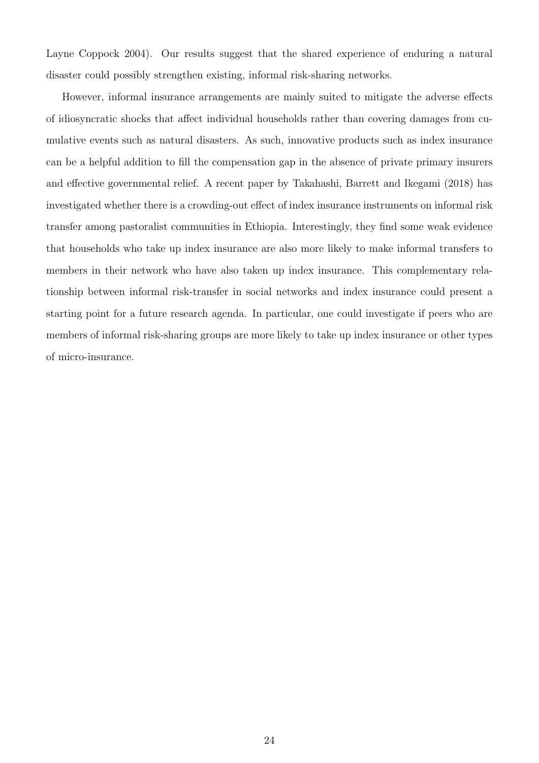Layne Coppock 2004). Our results suggest that the shared experience of enduring a natural disaster could possibly strengthen existing, informal risk-sharing networks.

However, informal insurance arrangements are mainly suited to mitigate the adverse effects of idiosyncratic shocks that affect individual households rather than covering damages from cumulative events such as natural disasters. As such, innovative products such as index insurance can be a helpful addition to fill the compensation gap in the absence of private primary insurers and effective governmental relief. A recent paper by Takahashi, Barrett and Ikegami (2018) has investigated whether there is a crowding-out effect of index insurance instruments on informal risk transfer among pastoralist communities in Ethiopia. Interestingly, they find some weak evidence that households who take up index insurance are also more likely to make informal transfers to members in their network who have also taken up index insurance. This complementary relationship between informal risk-transfer in social networks and index insurance could present a starting point for a future research agenda. In particular, one could investigate if peers who are members of informal risk-sharing groups are more likely to take up index insurance or other types of micro-insurance.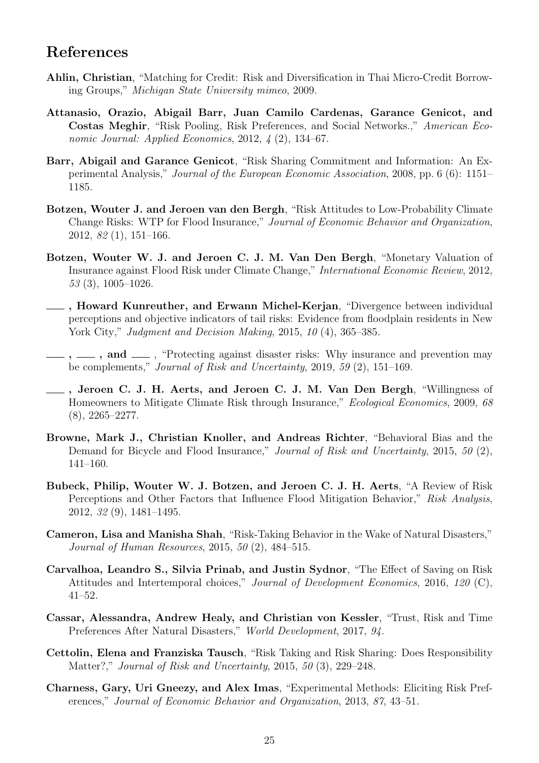## References

- Ahlin, Christian, "Matching for Credit: Risk and Diversification in Thai Micro-Credit Borrowing Groups," Michigan State University mimeo, 2009.
- Attanasio, Orazio, Abigail Barr, Juan Camilo Cardenas, Garance Genicot, and Costas Meghir, "Risk Pooling, Risk Preferences, and Social Networks.," American Economic Journal: Applied Economics, 2012, 4 (2), 134–67.
- Barr, Abigail and Garance Genicot, "Risk Sharing Commitment and Information: An Experimental Analysis," Journal of the European Economic Association, 2008, pp. 6 (6): 1151– 1185.
- Botzen, Wouter J. and Jeroen van den Bergh, "Risk Attitudes to Low-Probability Climate Change Risks: WTP for Flood Insurance," Journal of Economic Behavior and Organization, 2012, 82 (1), 151–166.
- Botzen, Wouter W. J. and Jeroen C. J. M. Van Den Bergh, "Monetary Valuation of Insurance against Flood Risk under Climate Change," International Economic Review, 2012, 53 (3), 1005–1026.
- , Howard Kunreuther, and Erwann Michel-Kerjan, "Divergence between individual perceptions and objective indicators of tail risks: Evidence from floodplain residents in New York City," Judgment and Decision Making, 2015, 10 (4), 365–385.
- $\ldots$ , and  $\ldots$ , "Protecting against disaster risks: Why insurance and prevention may be complements," Journal of Risk and Uncertainty, 2019, 59 (2), 151–169.
- , Jeroen C. J. H. Aerts, and Jeroen C. J. M. Van Den Bergh, "Willingness of Homeowners to Mitigate Climate Risk through Insurance," Ecological Economics, 2009, 68 (8), 2265–2277.
- Browne, Mark J., Christian Knoller, and Andreas Richter, "Behavioral Bias and the Demand for Bicycle and Flood Insurance," Journal of Risk and Uncertainty, 2015, 50 (2), 141–160.
- Bubeck, Philip, Wouter W. J. Botzen, and Jeroen C. J. H. Aerts, "A Review of Risk Perceptions and Other Factors that Influence Flood Mitigation Behavior," Risk Analysis, 2012, 32 (9), 1481–1495.
- Cameron, Lisa and Manisha Shah, "Risk-Taking Behavior in the Wake of Natural Disasters," Journal of Human Resources, 2015, 50 (2), 484–515.
- Carvalhoa, Leandro S., Silvia Prinab, and Justin Sydnor, "The Effect of Saving on Risk Attitudes and Intertemporal choices," Journal of Development Economics, 2016, 120 (C), 41–52.
- Cassar, Alessandra, Andrew Healy, and Christian von Kessler, "Trust, Risk and Time Preferences After Natural Disasters," World Development, 2017, 94.
- Cettolin, Elena and Franziska Tausch, "Risk Taking and Risk Sharing: Does Responsibility Matter?," Journal of Risk and Uncertainty, 2015, 50 (3), 229–248.
- Charness, Gary, Uri Gneezy, and Alex Imas, "Experimental Methods: Eliciting Risk Preferences," Journal of Economic Behavior and Organization, 2013, 87, 43–51.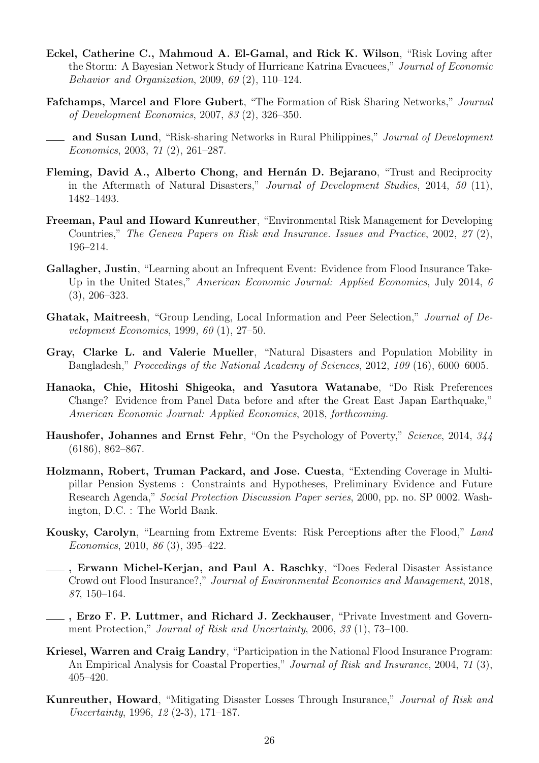- Eckel, Catherine C., Mahmoud A. El-Gamal, and Rick K. Wilson, "Risk Loving after the Storm: A Bayesian Network Study of Hurricane Katrina Evacuees," Journal of Economic Behavior and Organization, 2009, 69 (2), 110–124.
- Fafchamps, Marcel and Flore Gubert, "The Formation of Risk Sharing Networks," Journal of Development Economics, 2007, 83 (2), 326–350.
- and Susan Lund, "Risk-sharing Networks in Rural Philippines," Journal of Development Economics, 2003, 71 (2), 261–287.
- Fleming, David A., Alberto Chong, and Hernán D. Bejarano, "Trust and Reciprocity in the Aftermath of Natural Disasters," Journal of Development Studies, 2014, 50 (11), 1482–1493.
- Freeman, Paul and Howard Kunreuther, "Environmental Risk Management for Developing Countries," The Geneva Papers on Risk and Insurance. Issues and Practice, 2002, 27 (2), 196–214.
- Gallagher, Justin, "Learning about an Infrequent Event: Evidence from Flood Insurance Take-Up in the United States," American Economic Journal: Applied Economics, July 2014, 6 (3), 206–323.
- Ghatak, Maitreesh, "Group Lending, Local Information and Peer Selection," Journal of Development Economics, 1999, 60 (1), 27–50.
- Gray, Clarke L. and Valerie Mueller, "Natural Disasters and Population Mobility in Bangladesh," Proceedings of the National Academy of Sciences, 2012, 109 (16), 6000–6005.
- Hanaoka, Chie, Hitoshi Shigeoka, and Yasutora Watanabe, "Do Risk Preferences Change? Evidence from Panel Data before and after the Great East Japan Earthquake," American Economic Journal: Applied Economics, 2018, forthcoming.
- Haushofer, Johannes and Ernst Fehr, "On the Psychology of Poverty," Science, 2014, 344 (6186), 862–867.
- Holzmann, Robert, Truman Packard, and Jose. Cuesta, "Extending Coverage in Multipillar Pension Systems : Constraints and Hypotheses, Preliminary Evidence and Future Research Agenda," Social Protection Discussion Paper series, 2000, pp. no. SP 0002. Washington, D.C. : The World Bank.
- Kousky, Carolyn, "Learning from Extreme Events: Risk Perceptions after the Flood," Land Economics, 2010, 86 (3), 395–422.
- , Erwann Michel-Kerjan, and Paul A. Raschky, "Does Federal Disaster Assistance Crowd out Flood Insurance?," Journal of Environmental Economics and Management, 2018, 87, 150–164.
- , Erzo F. P. Luttmer, and Richard J. Zeckhauser, "Private Investment and Government Protection," Journal of Risk and Uncertainty, 2006, 33 (1), 73–100.
- Kriesel, Warren and Craig Landry, "Participation in the National Flood Insurance Program: An Empirical Analysis for Coastal Properties," Journal of Risk and Insurance, 2004, 71 (3), 405–420.
- Kunreuther, Howard, "Mitigating Disaster Losses Through Insurance," Journal of Risk and Uncertainty, 1996, 12 (2-3), 171–187.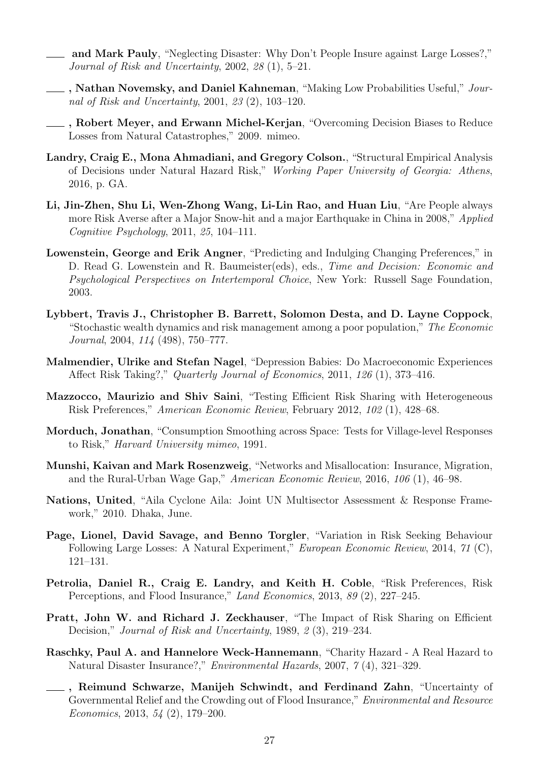- and Mark Pauly, "Neglecting Disaster: Why Don't People Insure against Large Losses?," Journal of Risk and Uncertainty, 2002, 28 (1), 5–21.
- , Nathan Novemsky, and Daniel Kahneman, "Making Low Probabilities Useful," Journal of Risk and Uncertainty, 2001, 23 (2), 103–120.
	- <sub>-</sub>, Robert Meyer, and Erwann Michel-Kerjan, "Overcoming Decision Biases to Reduce Losses from Natural Catastrophes," 2009. mimeo.
- Landry, Craig E., Mona Ahmadiani, and Gregory Colson., "Structural Empirical Analysis of Decisions under Natural Hazard Risk," Working Paper University of Georgia: Athens, 2016, p. GA.
- Li, Jin-Zhen, Shu Li, Wen-Zhong Wang, Li-Lin Rao, and Huan Liu, "Are People always more Risk Averse after a Major Snow-hit and a major Earthquake in China in 2008," Applied Cognitive Psychology, 2011, 25, 104–111.
- Lowenstein, George and Erik Angner, "Predicting and Indulging Changing Preferences," in D. Read G. Lowenstein and R. Baumeister(eds), eds., *Time and Decision: Economic and* Psychological Perspectives on Intertemporal Choice, New York: Russell Sage Foundation, 2003.
- Lybbert, Travis J., Christopher B. Barrett, Solomon Desta, and D. Layne Coppock, "Stochastic wealth dynamics and risk management among a poor population," The Economic Journal, 2004, 114 (498), 750–777.
- Malmendier, Ulrike and Stefan Nagel, "Depression Babies: Do Macroeconomic Experiences Affect Risk Taking?," Quarterly Journal of Economics, 2011, 126 (1), 373–416.
- Mazzocco, Maurizio and Shiv Saini, "Testing Efficient Risk Sharing with Heterogeneous Risk Preferences," American Economic Review, February 2012, 102 (1), 428–68.
- Morduch, Jonathan, "Consumption Smoothing across Space: Tests for Village-level Responses to Risk," Harvard University mimeo, 1991.
- Munshi, Kaivan and Mark Rosenzweig, "Networks and Misallocation: Insurance, Migration, and the Rural-Urban Wage Gap," American Economic Review, 2016, 106 (1), 46–98.
- Nations, United, "Aila Cyclone Aila: Joint UN Multisector Assessment & Response Framework," 2010. Dhaka, June.
- Page, Lionel, David Savage, and Benno Torgler, "Variation in Risk Seeking Behaviour Following Large Losses: A Natural Experiment," European Economic Review, 2014, 71 (C), 121–131.
- Petrolia, Daniel R., Craig E. Landry, and Keith H. Coble, "Risk Preferences, Risk Perceptions, and Flood Insurance," Land Economics, 2013, 89 (2), 227–245.
- Pratt, John W. and Richard J. Zeckhauser, "The Impact of Risk Sharing on Efficient Decision," Journal of Risk and Uncertainty, 1989, 2 (3), 219–234.
- Raschky, Paul A. and Hannelore Weck-Hannemann, "Charity Hazard A Real Hazard to Natural Disaster Insurance?," Environmental Hazards, 2007, 7 (4), 321–329.
- **EXECUTE:** Reimund Schwarze, Manijeh Schwindt, and Ferdinand Zahn, "Uncertainty of Governmental Relief and the Crowding out of Flood Insurance," Environmental and Resource Economics, 2013, 54 (2), 179–200.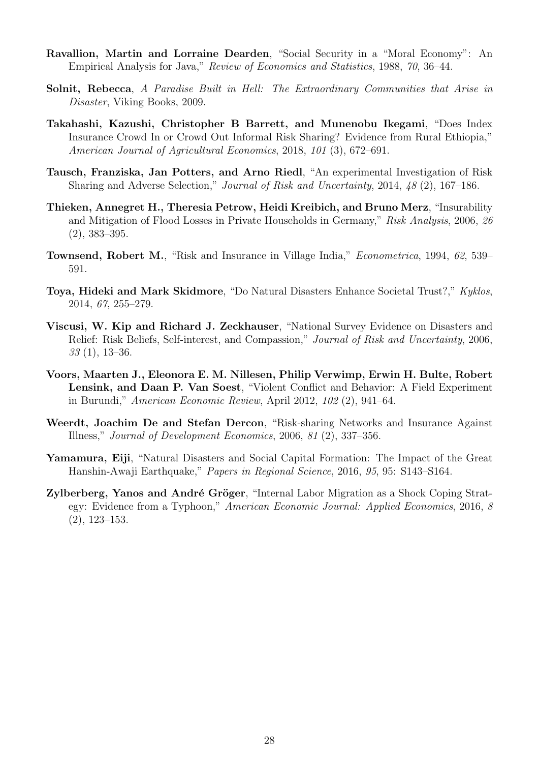- Ravallion, Martin and Lorraine Dearden, "Social Security in a "Moral Economy": An Empirical Analysis for Java," Review of Economics and Statistics, 1988, 70, 36–44.
- Solnit, Rebecca, A Paradise Built in Hell: The Extraordinary Communities that Arise in Disaster, Viking Books, 2009.
- Takahashi, Kazushi, Christopher B Barrett, and Munenobu Ikegami, "Does Index Insurance Crowd In or Crowd Out Informal Risk Sharing? Evidence from Rural Ethiopia," American Journal of Agricultural Economics, 2018, 101 (3), 672–691.
- Tausch, Franziska, Jan Potters, and Arno Riedl, "An experimental Investigation of Risk Sharing and Adverse Selection," Journal of Risk and Uncertainty, 2014, 48 (2), 167–186.
- Thieken, Annegret H., Theresia Petrow, Heidi Kreibich, and Bruno Merz, "Insurability and Mitigation of Flood Losses in Private Households in Germany," Risk Analysis, 2006, 26 (2), 383–395.
- Townsend, Robert M., "Risk and Insurance in Village India," Econometrica, 1994, 62, 539– 591.
- Toya, Hideki and Mark Skidmore, "Do Natural Disasters Enhance Societal Trust?," Kyklos, 2014, 67, 255–279.
- Viscusi, W. Kip and Richard J. Zeckhauser, "National Survey Evidence on Disasters and Relief: Risk Beliefs, Self-interest, and Compassion," Journal of Risk and Uncertainty, 2006, 33 (1), 13–36.
- Voors, Maarten J., Eleonora E. M. Nillesen, Philip Verwimp, Erwin H. Bulte, Robert Lensink, and Daan P. Van Soest, "Violent Conflict and Behavior: A Field Experiment in Burundi," American Economic Review, April 2012, 102 (2), 941–64.
- Weerdt, Joachim De and Stefan Dercon, "Risk-sharing Networks and Insurance Against Illness," Journal of Development Economics, 2006, 81 (2), 337–356.
- Yamamura, Eiji, "Natural Disasters and Social Capital Formation: The Impact of the Great Hanshin-Awaji Earthquake," Papers in Regional Science, 2016, 95, 95: S143–S164.
- Zylberberg, Yanos and André Gröger, "Internal Labor Migration as a Shock Coping Strategy: Evidence from a Typhoon," American Economic Journal: Applied Economics, 2016, 8 (2), 123–153.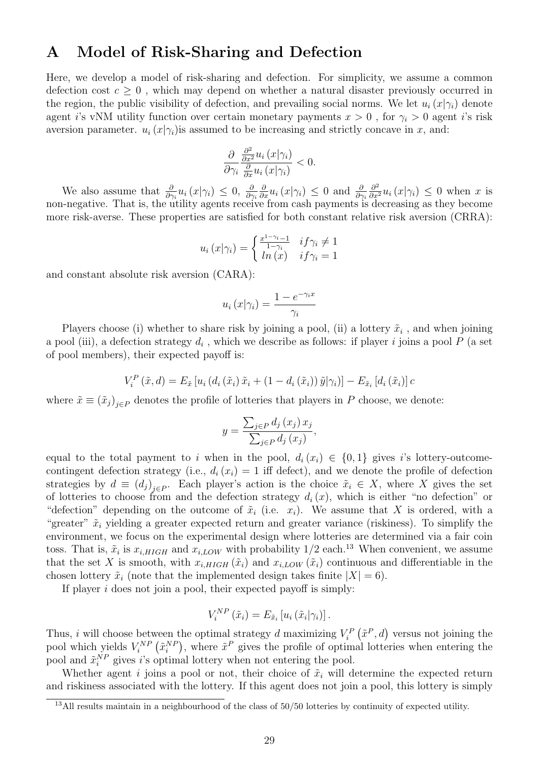## A Model of Risk-Sharing and Defection

Here, we develop a model of risk-sharing and defection. For simplicity, we assume a common defection cost  $c \geq 0$ , which may depend on whether a natural disaster previously occurred in the region, the public visibility of defection, and prevailing social norms. We let  $u_i(x|\gamma_i)$  denote agent i's vNM utility function over certain monetary payments  $x > 0$ , for  $\gamma_i > 0$  agent i's risk aversion parameter.  $u_i(x|\gamma_i)$  is assumed to be increasing and strictly concave in x, and:

$$
\frac{\partial}{\partial \gamma_i} \frac{\frac{\partial^2}{\partial x^2} u_i(x|\gamma_i)}{\frac{\partial}{\partial x} u_i(x|\gamma_i)} < 0.
$$

We also assume that  $\frac{\partial}{\partial \gamma_i} u_i(x|\gamma_i) \leq 0$ ,  $\frac{\partial}{\partial \gamma_i}$  $\frac{\partial}{\partial x}u_i(x|\gamma_i) \leq 0$  and  $\frac{\partial}{\partial \gamma_i}$  $\frac{\partial^2}{\partial x^2} u_i(x|\gamma_i) \leq 0$  when x is non-negative. That is, the utility agents receive from cash payments is decreasing as they become more risk-averse. These properties are satisfied for both constant relative risk aversion (CRRA):

$$
u_i(x|\gamma_i) = \begin{cases} \frac{x^{1-\gamma_i}-1}{1-\gamma_i} & if \gamma_i \neq 1\\ ln(x) & if \gamma_i = 1 \end{cases}
$$

and constant absolute risk aversion (CARA):

$$
u_i(x|\gamma_i) = \frac{1 - e^{-\gamma_i x}}{\gamma_i}
$$

Players choose (i) whether to share risk by joining a pool, (ii) a lottery  $\tilde{x}_i$ , and when joining a pool (iii), a defection strategy  $d_i$ , which we describe as follows: if player i joins a pool  $P$  (a set of pool members), their expected payoff is:

$$
V_i^P(\tilde{x}, d) = E_{\tilde{x}} \left[ u_i \left( d_i \left( \tilde{x}_i \right) \tilde{x}_i + \left( 1 - d_i \left( \tilde{x}_i \right) \right) \tilde{y} \middle| \gamma_i \right) \right] - E_{\tilde{x}_i} \left[ d_i \left( \tilde{x}_i \right) \right] c
$$

where  $\tilde{x} \equiv (\tilde{x}_j)_{j \in P}$  denotes the profile of lotteries that players in P choose, we denote:

$$
y = \frac{\sum_{j \in P} d_j(x_j) x_j}{\sum_{j \in P} d_j(x_j)},
$$

equal to the total payment to i when in the pool,  $d_i(x_i) \in \{0,1\}$  gives i's lottery-outcomecontingent defection strategy (i.e.,  $d_i(x_i) = 1$  iff defect), and we denote the profile of defection strategies by  $d \equiv (d_j)_{j \in P}$ . Each player's action is the choice  $\tilde{x}_i \in X$ , where X gives the set of lotteries to choose from and the defection strategy  $d_i(x)$ , which is either "no defection" or "defection" depending on the outcome of  $\tilde{x}_i$  (i.e.  $x_i$ ). We assume that X is ordered, with a "greater"  $\tilde{x}_i$  yielding a greater expected return and greater variance (riskiness). To simplify the environment, we focus on the experimental design where lotteries are determined via a fair coin toss. That is,  $\tilde{x}_i$  is  $x_{i, HIGH}$  and  $x_{i,LOW}$  with probability  $1/2$  each.<sup>[13](#page-0-0)</sup> When convenient, we assume that the set X is smooth, with  $x_{i,HIGH}(\tilde{x}_i)$  and  $x_{i,LOW}(\tilde{x}_i)$  continuous and differentiable in the chosen lottery  $\tilde{x}_i$  (note that the implemented design takes finite  $|X| = 6$ ).

If player  $i$  does not join a pool, their expected payoff is simply:

$$
V_i^{NP}(\tilde{x}_i) = E_{\tilde{x}_i} [u_i (\tilde{x}_i | \gamma_i)].
$$

Thus, i will choose between the optimal strategy d maximizing  $V_i^P(\tilde{x}^P, d)$  versus not joining the pool which yields  $V_i^{NP}(\tilde{x}_i^{NP})$ , where  $\tilde{x}^P$  gives the profile of optimal lotteries when entering the pool and  $\tilde{x}_i^{NP}$  gives i's optimal lottery when not entering the pool.

Whether agent i joins a pool or not, their choice of  $\tilde{x}_i$  will determine the expected return and riskiness associated with the lottery. If this agent does not join a pool, this lottery is simply

<sup>&</sup>lt;sup>13</sup>All results maintain in a neighbourhood of the class of 50/50 lotteries by continuity of expected utility.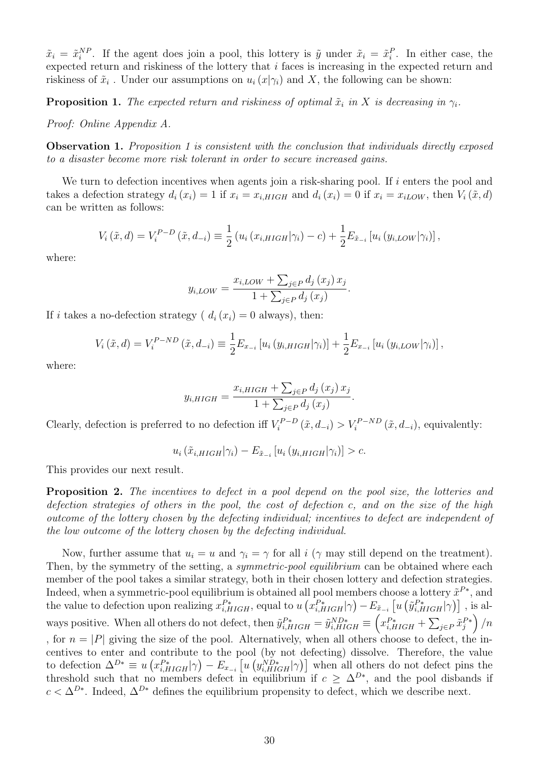$\tilde{x}_i = \tilde{x}_i^{NP}$ . If the agent does join a pool, this lottery is  $\tilde{y}$  under  $\tilde{x}_i = \tilde{x}_i^P$ . In either case, the expected return and riskiness of the lottery that i faces is increasing in the expected return and riskiness of  $\tilde{x}_i$ . Under our assumptions on  $u_i(x|\gamma_i)$  and X, the following can be shown:

<span id="page-29-0"></span>**Proposition 1.** The expected return and riskiness of optimal  $\tilde{x}_i$  in X is decreasing in  $\gamma_i$ .

Proof: Online Appendix A.

**Observation [1](#page-29-0).** Proposition 1 is consistent with the conclusion that individuals directly exposed to a disaster become more risk tolerant in order to secure increased gains.

We turn to defection incentives when agents join a risk-sharing pool. If  $i$  enters the pool and takes a defection strategy  $d_i(x_i) = 1$  if  $x_i = x_{i, HIGH}$  and  $d_i(x_i) = 0$  if  $x_i = x_{i, IOW}$ , then  $V_i(\tilde{x}, d)$ can be written as follows:

$$
V_i(\tilde{x}, d) = V_i^{P-D}(\tilde{x}, d_{-i}) \equiv \frac{1}{2} (u_i (x_{i, HIGH} | \gamma_i) - c) + \frac{1}{2} E_{\tilde{x}_{-i}} [u_i (y_{i,LOW} | \gamma_i)],
$$

where:

$$
y_{i,LOW} = \frac{x_{i,LOW} + \sum_{j \in P} d_j(x_j) x_j}{1 + \sum_{j \in P} d_j(x_j)}.
$$

If i takes a no-defection strategy ( $d_i(x_i) = 0$  always), then:

$$
V_i(\tilde{x}, d) = V_i^{P-ND}(\tilde{x}, d_{-i}) \equiv \frac{1}{2} E_{x_{-i}} \left[ u_i \left( y_{i,HIGH} | \gamma_i \right) \right] + \frac{1}{2} E_{x_{-i}} \left[ u_i \left( y_{i,LOW} | \gamma_i \right) \right],
$$

where:

$$
y_{i,HIGH} = \frac{x_{i,HIGH} + \sum_{j \in P} d_j(x_j) x_j}{1 + \sum_{j \in P} d_j(x_j)}.
$$

Clearly, defection is preferred to no defection iff  $V_i^{P-D}$  $V_i^{P-D}(\tilde{x}, d_{-i}) > V_i^{P-ND}(\tilde{x}, d_{-i}),$  equivalently:

$$
u_i\left(\tilde{x}_{i,HIGH}|\gamma_i\right) - E_{\tilde{x}_{-i}}\left[u_i\left(y_{i,HIGH}|\gamma_i\right)\right] > c.
$$

This provides our next result.

Proposition 2. The incentives to defect in a pool depend on the pool size, the lotteries and defection strategies of others in the pool, the cost of defection c, and on the size of the high outcome of the lottery chosen by the defecting individual; incentives to defect are independent of the low outcome of the lottery chosen by the defecting individual.

Now, further assume that  $u_i = u$  and  $\gamma_i = \gamma$  for all i ( $\gamma$  may still depend on the treatment). Then, by the symmetry of the setting, a *symmetric-pool equilibrium* can be obtained where each member of the pool takes a similar strategy, both in their chosen lottery and defection strategies. Indeed, when a symmetric-pool equilibrium is obtained all pool members choose a lottery  $\tilde{x}^{P*}$ , and the value to defection upon realizing  $x_{i,HIGH}^{P*}$ , equal to  $u\left(x_{i,HIGH}^{P*}|\gamma\right) - E_{\tilde{x}_{-i}}\left[u\left(\tilde{y}_{i,HIGH}^{P*}|\gamma\right)\right]$ , is always positive. When all others do not defect, then  $\tilde{y}_{i,HIGH}^{P*} = \tilde{y}_{i,HIGH}^{ND*} \equiv \left(x_{i,HIGH}^{P*} + \sum_{j \in P} \tilde{x}_j^{P*}\right)/n$ , for  $n = |P|$  giving the size of the pool. Alternatively, when all others choose to defect, the incentives to enter and contribute to the pool (by not defecting) dissolve. Therefore, the value to defection  $\Delta^{D*} \equiv u(x_{i,HIGH}^{P*}|\gamma) - E_{x_{-i}}[u(y_{i,HIGH}^{ND*}|\gamma)]$  when all others do not defect pins the threshold such that no members defect in equilibrium if  $c \geq \Delta^{D*}$ , and the pool disbands if  $c < \Delta^{D*}$ . Indeed,  $\Delta^{D*}$  defines the equilibrium propensity to defect, which we describe next.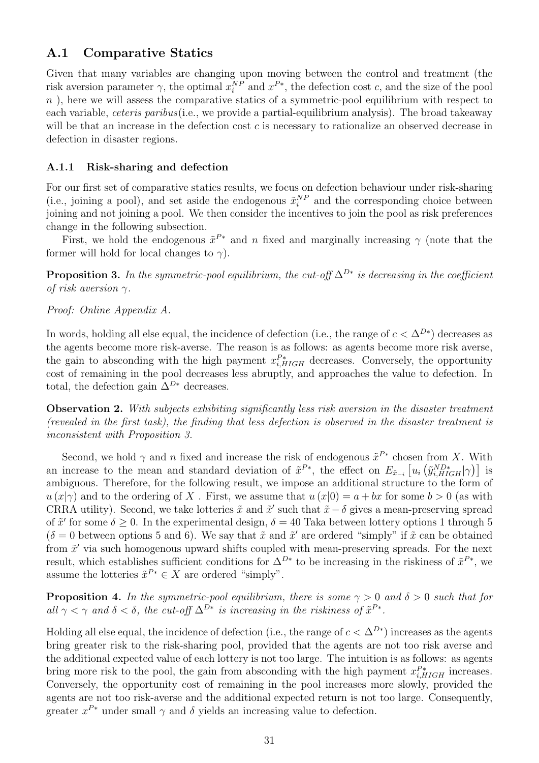## A.1 Comparative Statics

Given that many variables are changing upon moving between the control and treatment (the risk aversion parameter  $\gamma$ , the optimal  $x_i^{NP}$  and  $x^{P*}$ , the defection cost c, and the size of the pool  $n$ ), here we will assess the comparative statics of a symmetric-pool equilibrium with respect to each variable, ceteris paribus(i.e., we provide a partial-equilibrium analysis). The broad takeaway will be that an increase in the defection cost  $c$  is necessary to rationalize an observed decrease in defection in disaster regions.

### A.1.1 Risk-sharing and defection

For our first set of comparative statics results, we focus on defection behaviour under risk-sharing (i.e., joining a pool), and set aside the endogenous  $\tilde{x}_i^{NP}$  and the corresponding choice between joining and not joining a pool. We then consider the incentives to join the pool as risk preferences change in the following subsection.

First, we hold the endogenous  $\tilde{x}^{P*}$  and n fixed and marginally increasing  $\gamma$  (note that the former will hold for local changes to  $\gamma$ ).

<span id="page-30-0"></span>**Proposition 3.** In the symmetric-pool equilibrium, the cut-off  $\Delta^{D*}$  is decreasing in the coefficient of risk aversion  $\gamma$ .

### Proof: Online Appendix A.

In words, holding all else equal, the incidence of defection (i.e., the range of  $c < \Delta^{D*}$ ) decreases as the agents become more risk-averse. The reason is as follows: as agents become more risk averse, the gain to absconding with the high payment  $x_{i,HIGH}^{P*}$  decreases. Conversely, the opportunity cost of remaining in the pool decreases less abruptly, and approaches the value to defection. In total, the defection gain  $\overline{\Delta}^{D*}$  decreases.

Observation 2. With subjects exhibiting significantly less risk aversion in the disaster treatment (revealed in the first task), the finding that less defection is observed in the disaster treatment is inconsistent with Proposition [3.](#page-30-0)

Second, we hold  $\gamma$  and n fixed and increase the risk of endogenous  $\tilde{x}^{P*}$  chosen from X. With an increase to the mean and standard deviation of  $\tilde{x}^{P*}$ , the effect on  $E_{\tilde{x}_{-i}}\left[u_i\left(\tilde{y}_{i,HIGH}^{ND*}|\gamma\right)\right]$  is ambiguous. Therefore, for the following result, we impose an additional structure to the form of  $u(x|\gamma)$  and to the ordering of X. First, we assume that  $u(x|0) = a + bx$  for some  $b > 0$  (as with CRRA utility). Second, we take lotteries  $\tilde{x}$  and  $\tilde{x}'$  such that  $\tilde{x}-\delta$  gives a mean-preserving spread of  $\tilde{x}'$  for some  $\delta \geq 0$ . In the experimental design,  $\delta = 40$  Taka between lottery options 1 through 5  $(\delta = 0$  between options 5 and 6). We say that  $\tilde{x}$  and  $\tilde{x}'$  are ordered "simply" if  $\tilde{x}$  can be obtained from  $\tilde{x}'$  via such homogenous upward shifts coupled with mean-preserving spreads. For the next result, which establishes sufficient conditions for  $\Delta^{D*}$  to be increasing in the riskiness of  $\tilde{x}^{P*}$ , we assume the lotteries  $\tilde{x}^{P*} \in X$  are ordered "simply".

**Proposition 4.** In the symmetric-pool equilibrium, there is some  $\gamma > 0$  and  $\delta > 0$  such that for all  $\gamma < \gamma$  and  $\delta < \delta$ , the cut-off  $\Delta^{D*}$  is increasing in the riskiness of  $\tilde{x}^{P*}$ .

Holding all else equal, the incidence of defection (i.e., the range of  $c < \Delta^{D*}$ ) increases as the agents bring greater risk to the risk-sharing pool, provided that the agents are not too risk averse and the additional expected value of each lottery is not too large. The intuition is as follows: as agents bring more risk to the pool, the gain from absconding with the high payment  $x_{i,HIGH}^{P*}$  increases. Conversely, the opportunity cost of remaining in the pool increases more slowly, provided the agents are not too risk-averse and the additional expected return is not too large. Consequently, greater  $x^{P*}$  under small  $\gamma$  and  $\delta$  yields an increasing value to defection.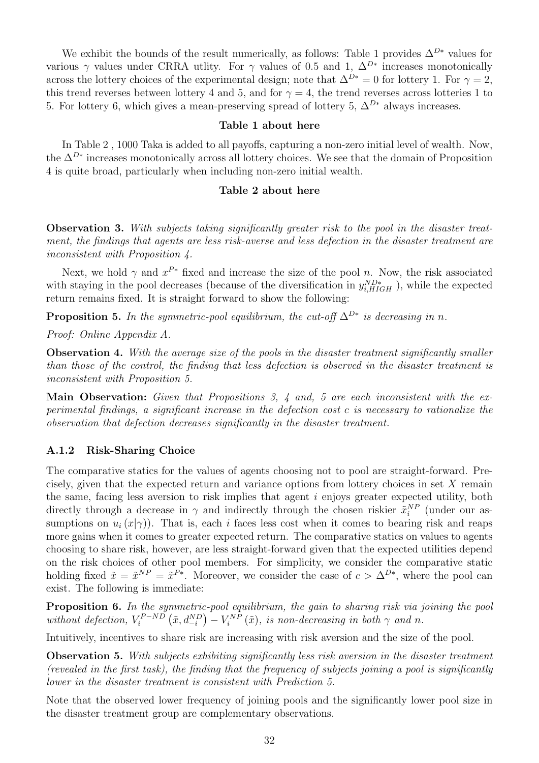We exhibit the bounds of the result numerically, as follows: Table [1](#page-32-0) provides  $\Delta^{D*}$  values for various  $\gamma$  values under CRRA utlity. For  $\gamma$  values of 0.5 and 1,  $\Delta^{D*}$  increases monotonically across the lottery choices of the experimental design; note that  $\Delta^{D*} = 0$  for lottery 1. For  $\gamma = 2$ , this trend reverses between lottery 4 and 5, and for  $\gamma = 4$ , the trend reverses across lotteries 1 to 5. For lottery 6, which gives a mean-preserving spread of lottery 5,  $\Delta^{D*}$  always increases.

### Table [1](#page-32-0) about here

In Table [2](#page-32-1) , 1000 Taka is added to all payoffs, capturing a non-zero initial level of wealth. Now, the  $\Delta^{D*}$  increases monotonically across all lottery choices. We see that the domain of Proposition 4 is quite broad, particularly when including non-zero initial wealth.

#### Table [2](#page-32-1) about here

Observation 3. With subjects taking significantly greater risk to the pool in the disaster treatment, the findings that agents are less risk-averse and less defection in the disaster treatment are inconsistent with Proposition 4.

Next, we hold  $\gamma$  and  $x^{P*}$  fixed and increase the size of the pool n. Now, the risk associated with staying in the pool decreases (because of the diversification in  $y_{i,HIGH}^{ND*}$ ), while the expected return remains fixed. It is straight forward to show the following:

<span id="page-31-0"></span>**Proposition 5.** In the symmetric-pool equilibrium, the cut-off  $\Delta^{D*}$  is decreasing in n.

Proof: Online Appendix A.

**Observation 4.** With the average size of the pools in the disaster treatment significantly smaller than those of the control, the finding that less defection is observed in the disaster treatment is inconsistent with Proposition [5.](#page-31-0)

Main Observation: Given that Propositions 3, 4 and, 5 are each inconsistent with the experimental findings, a significant increase in the defection cost c is necessary to rationalize the observation that defection decreases significantly in the disaster treatment.

### A.1.2 Risk-Sharing Choice

The comparative statics for the values of agents choosing not to pool are straight-forward. Precisely, given that the expected return and variance options from lottery choices in set X remain the same, facing less aversion to risk implies that agent i enjoys greater expected utility, both directly through a decrease in  $\gamma$  and indirectly through the chosen riskier  $\tilde{x}_i^{NP}$  (under our assumptions on  $u_i(x|\gamma)$ ). That is, each i faces less cost when it comes to bearing risk and reaps more gains when it comes to greater expected return. The comparative statics on values to agents choosing to share risk, however, are less straight-forward given that the expected utilities depend on the risk choices of other pool members. For simplicity, we consider the comparative static holding fixed  $\tilde{x} = \tilde{x}^{NP} = \tilde{x}^{P*}$ . Moreover, we consider the case of  $c > \Delta^{D*}$ , where the pool can exist. The following is immediate:

Proposition 6. In the symmetric-pool equilibrium, the gain to sharing risk via joining the pool without defection,  $V_i^{P-ND}$  $V_i^{P-ND}\left(\tilde{x}, d^{ND}_{-i}\right) - V_i^{NP}\left(\tilde{x}\right)$ , is non-decreasing in both  $\gamma$  and n.

Intuitively, incentives to share risk are increasing with risk aversion and the size of the pool.

**Observation 5.** With subjects exhibiting significantly less risk aversion in the disaster treatment (revealed in the first task), the finding that the frequency of subjects joining a pool is significantly lower in the disaster treatment is consistent with Prediction 5.

Note that the observed lower frequency of joining pools and the significantly lower pool size in the disaster treatment group are complementary observations.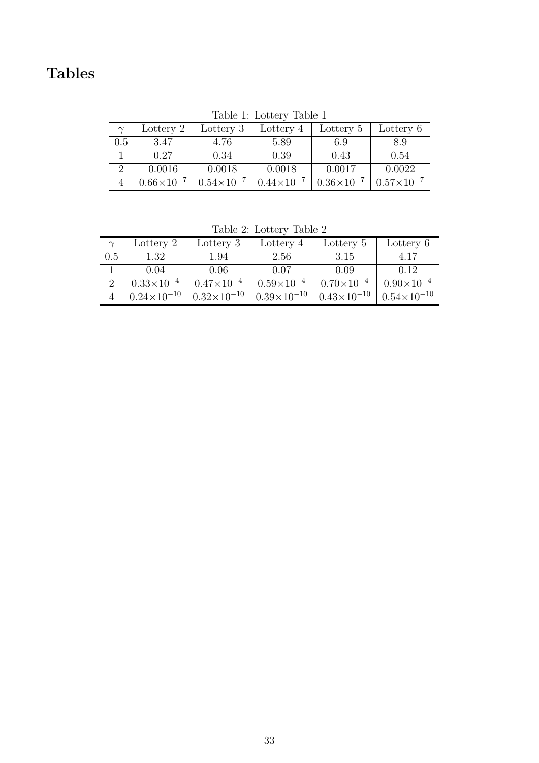# Tables

| $\sim$ | Lottery 2           | Lottery 3           | Lottery 4             | Lottery 5           | Lottery 6           |
|--------|---------------------|---------------------|-----------------------|---------------------|---------------------|
| 0.5    | 3.47                | 4.76                | 5.89                  | 6.9                 | 8.9                 |
|        | 0.27                | 0.34                | 0.39                  | 0.43                | 0.54                |
|        | 0.0016              | 0.0018              | 0.0018                | 0.0017              | 0.0022              |
|        | $0.66\times10^{-7}$ | $0.54\times10^{-7}$ | $0.44 \times 10^{-7}$ | $0.36\times10^{-7}$ | $0.57\times10^{-7}$ |

<span id="page-32-0"></span>Table 1: Lottery Table 1

<span id="page-32-1"></span>Table 2: Lottery Table 2

| $\sim$ | Lottery 2            | Lottery 3            | Lottery 4            | Lottery 5            | Lottery 6            |
|--------|----------------------|----------------------|----------------------|----------------------|----------------------|
| 0.5    | 1.32                 | 1.94                 | 2.56                 | 3.15                 | 4.17                 |
|        | 0.04                 | 0.06                 | 0.07                 | 0.09                 | 0.12                 |
|        | $0.33\times10^{-4}$  | $0.47\times10^{-4}$  | $0.59\times10^{-4}$  | $0.70\times10^{-4}$  | $0.90\times10^{-4}$  |
|        | $0.24\times10^{-10}$ | $0.32\times10^{-10}$ | $0.39\times10^{-10}$ | $0.43\times10^{-10}$ | $0.54\times10^{-10}$ |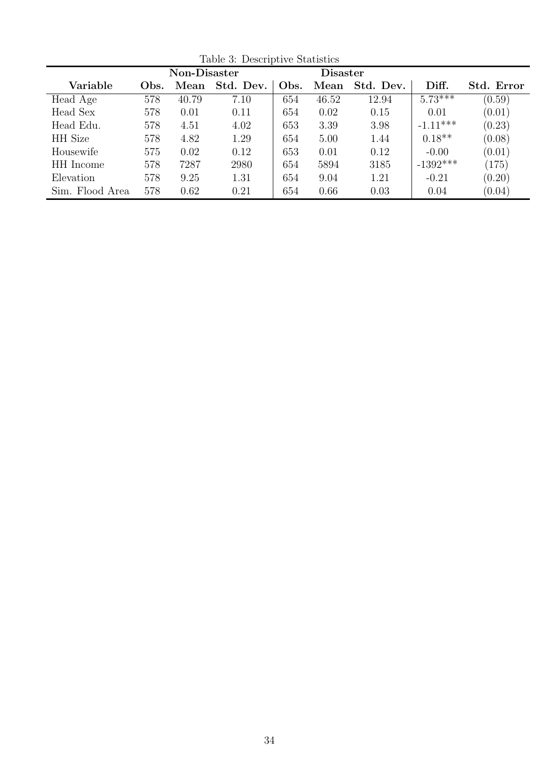|                 | Non-Disaster |       |           |      | <b>Disaster</b> |           |            |            |
|-----------------|--------------|-------|-----------|------|-----------------|-----------|------------|------------|
| Variable        | Obs.         | Mean  | Std. Dev. | Obs. | Mean            | Std. Dev. | Diff.      | Std. Error |
| Head Age        | 578          | 40.79 | 7.10      | 654  | 46.52           | 12.94     | $5.73***$  | (0.59)     |
| Head Sex        | 578          | 0.01  | 0.11      | 654  | 0.02            | 0.15      | 0.01       | (0.01)     |
| Head Edu.       | 578          | 4.51  | 4.02      | 653  | 3.39            | 3.98      | $-1.11***$ | (0.23)     |
| <b>HH</b> Size  | 578          | 4.82  | 1.29      | 654  | 5.00            | 1.44      | $0.18**$   | (0.08)     |
| Housewife       | 575          | 0.02  | 0.12      | 653  | 0.01            | 0.12      | $-0.00$    | (0.01)     |
| HH Income       | 578          | 7287  | 2980      | 654  | 5894            | 3185      | $-1392***$ | (175)      |
| Elevation       | 578          | 9.25  | 1.31      | 654  | 9.04            | 1.21      | $-0.21$    | (0.20)     |
| Sim. Flood Area | 578          | 0.62  | 0.21      | 654  | 0.66            | 0.03      | 0.04       | (0.04)     |

<span id="page-33-0"></span>Table 3: Descriptive Statistics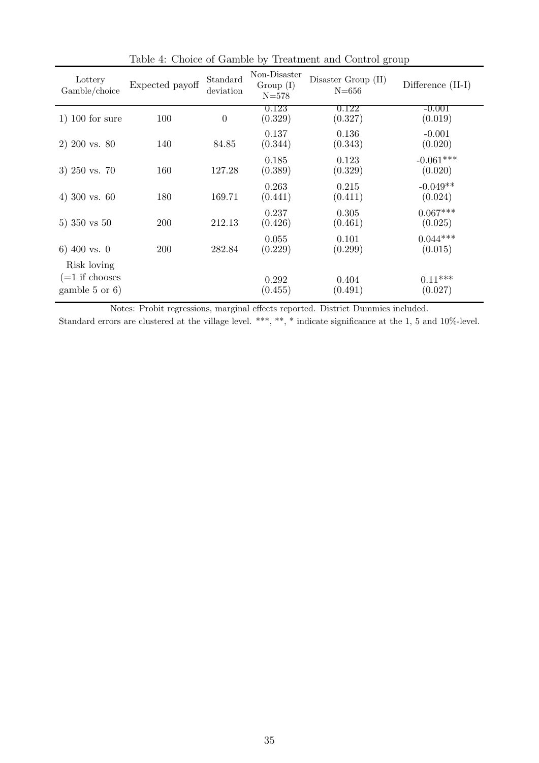| Lottery<br>Gamble/choice                                    | Expected payoff | Standard<br>deviation | Non-Disaster<br>Group (I)<br>$N = 578$ | Disaster Group (II)<br>$N = 656$ | Difference (II-I)      |
|-------------------------------------------------------------|-----------------|-----------------------|----------------------------------------|----------------------------------|------------------------|
| $1)$ 100 for sure                                           | 100             | $\theta$              | 0.123<br>(0.329)                       | 0.122<br>(0.327)                 | $-0.001$<br>(0.019)    |
| $2)$ 200 vs. 80                                             | 140             | 84.85                 | 0.137<br>(0.344)                       | 0.136<br>(0.343)                 | $-0.001$<br>(0.020)    |
| 3) $250$ vs. 70                                             | 160             | 127.28                | 0.185<br>(0.389)                       | 0.123<br>(0.329)                 | $-0.061***$<br>(0.020) |
| 4) 300 vs. $60$                                             | 180             | 169.71                | 0.263<br>(0.441)                       | 0.215<br>(0.411)                 | $-0.049**$<br>(0.024)  |
| 5) $350 \text{ vs } 50$                                     | 200             | 212.13                | 0.237<br>(0.426)                       | 0.305<br>(0.461)                 | $0.067***$<br>(0.025)  |
| 6) 400 vs. 0                                                | 200             | 282.84                | 0.055<br>(0.229)                       | 0.101<br>(0.299)                 | $0.044***$<br>(0.015)  |
| Risk loving<br>$(=1$ if chooses<br>gamble $5 \text{ or } 6$ |                 |                       | 0.292<br>(0.455)                       | 0.404<br>(0.491)                 | $0.11***$<br>(0.027)   |

<span id="page-34-0"></span>Table 4: Choice of Gamble by Treatment and Control group

Notes: Probit regressions, marginal effects reported. District Dummies included.

Standard errors are clustered at the village level. \*\*\*, \*\*, \* indicate significance at the 1, 5 and 10%-level.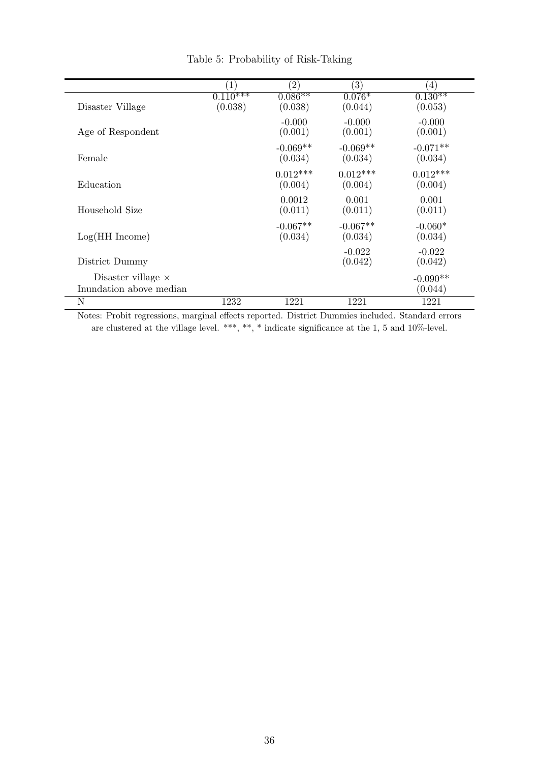|                              |                       | $\left( 2\right)$     | (3)                   | (4)                   |
|------------------------------|-----------------------|-----------------------|-----------------------|-----------------------|
| Disaster Village             | $0.110***$<br>(0.038) | $0.086**$<br>(0.038)  | $0.076*$<br>(0.044)   | $0.130**$<br>(0.053)  |
| Age of Respondent            |                       | $-0.000$<br>(0.001)   | $-0.000$<br>(0.001)   | $-0.000$<br>(0.001)   |
| Female                       |                       | $-0.069**$<br>(0.034) | $-0.069**$<br>(0.034) | $-0.071**$<br>(0.034) |
| Education                    |                       | $0.012***$<br>(0.004) | $0.012***$<br>(0.004) | $0.012***$<br>(0.004) |
| Household Size               |                       | 0.0012<br>(0.011)     | 0.001<br>(0.011)      | 0.001<br>(0.011)      |
| $Log(HH$ Income)             |                       | $-0.067**$<br>(0.034) | $-0.067**$<br>(0.034) | $-0.060*$<br>(0.034)  |
| District Dummy               |                       |                       | $-0.022$<br>(0.042)   | $-0.022$<br>(0.042)   |
| Disaster village $\times$    |                       |                       |                       | $-0.090**$            |
| Inundation above median<br>N | 1232                  | 1221                  | 1221                  | (0.044)<br>1221       |

<span id="page-35-0"></span>Table 5: Probability of Risk-Taking

Notes: Probit regressions, marginal effects reported. District Dummies included. Standard errors are clustered at the village level. \*\*\*, \*\*, \* indicate significance at the 1, 5 and 10%-level.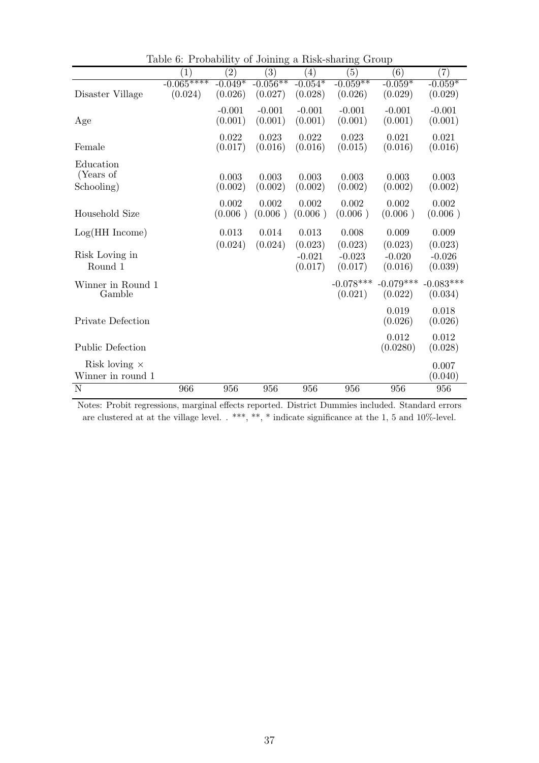|                                           | $\left( 1\right)$      | $\left( 2\right)$    | $\left( 3\right)$     | $\left( 4\right)$    | (5)                    | (6)                    | (7)                    |
|-------------------------------------------|------------------------|----------------------|-----------------------|----------------------|------------------------|------------------------|------------------------|
| Disaster Village                          | $-0.065***$<br>(0.024) | $-0.049*$<br>(0.026) | $-0.056**$<br>(0.027) | $-0.054*$<br>(0.028) | $-0.059**$<br>(0.026)  | $-0.059*$<br>(0.029)   | $-0.059*$<br>(0.029)   |
| Age                                       |                        | $-0.001$<br>(0.001)  | $-0.001$<br>(0.001)   | $-0.001$<br>(0.001)  | $-0.001$<br>(0.001)    | $-0.001$<br>(0.001)    | $-0.001$<br>(0.001)    |
| Female                                    |                        | 0.022<br>(0.017)     | 0.023<br>(0.016)      | 0.022<br>(0.016)     | 0.023<br>(0.015)       | 0.021<br>(0.016)       | 0.021<br>(0.016)       |
| Education<br>(Years of                    |                        | 0.003                | 0.003                 | 0.003                | 0.003                  | 0.003                  | 0.003                  |
| Schooling)                                |                        | (0.002)              | (0.002)               | (0.002)              | (0.002)                | (0.002)                | (0.002)                |
| Household Size                            |                        | 0.002<br>(0.006)     | 0.002<br>(0.006)      | 0.002<br>(0.006)     | 0.002<br>(0.006)       | 0.002<br>(0.006)       | 0.002<br>(0.006)       |
| Log(HH Income)                            |                        | 0.013<br>(0.024)     | 0.014<br>(0.024)      | 0.013<br>(0.023)     | 0.008<br>(0.023)       | 0.009<br>(0.023)       | 0.009<br>(0.023)       |
| Risk Loving in<br>Round 1                 |                        |                      |                       | $-0.021$<br>(0.017)  | $-0.023$<br>(0.017)    | $-0.020$<br>(0.016)    | $-0.026$<br>(0.039)    |
| Winner in Round 1<br>Gamble               |                        |                      |                       |                      | $-0.078***$<br>(0.021) | $-0.079***$<br>(0.022) | $-0.083***$<br>(0.034) |
| Private Defection                         |                        |                      |                       |                      |                        | 0.019<br>(0.026)       | 0.018<br>(0.026)       |
| <b>Public Defection</b>                   |                        |                      |                       |                      |                        | 0.012<br>(0.0280)      | 0.012<br>(0.028)       |
| Risk loving $\times$<br>Winner in round 1 |                        |                      |                       |                      |                        |                        | 0.007<br>(0.040)       |
| N                                         | 966                    | 956                  | 956                   | 956                  | 956                    | 956                    | 956                    |

<span id="page-36-0"></span>Table 6: Probability of Joining a Risk-sharing Group

Notes: Probit regressions, marginal effects reported. District Dummies included. Standard errors are clustered at at the village level. . \*\*\*, \*\*, \* indicate significance at the 1, 5 and 10%-level.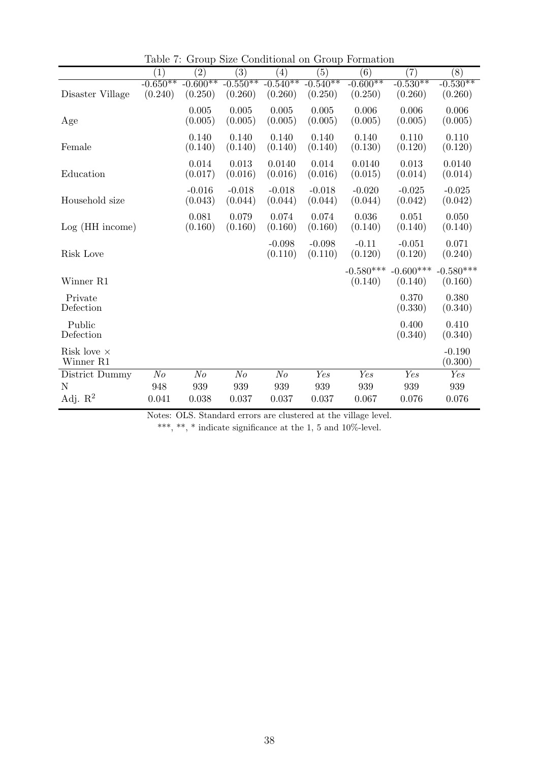|                                 | $\left( 1\right)$     | $\left( 2\right)$     | $\left(3\right)$      | $\left( 4\right)$     | (5)                   | (6)                    | (7)                    | (8)                    |
|---------------------------------|-----------------------|-----------------------|-----------------------|-----------------------|-----------------------|------------------------|------------------------|------------------------|
| Disaster Village                | $-0.650**$<br>(0.240) | $-0.600**$<br>(0.250) | $-0.550**$<br>(0.260) | $-0.540**$<br>(0.260) | $-0.540**$<br>(0.250) | $-0.600**$<br>(0.250)  | $-0.530**$<br>(0.260)  | $-0.530**$<br>(0.260)  |
| Age                             |                       | 0.005<br>(0.005)      | 0.005<br>(0.005)      | 0.005<br>(0.005)      | 0.005<br>(0.005)      | 0.006<br>(0.005)       | 0.006<br>(0.005)       | 0.006<br>(0.005)       |
| Female                          |                       | 0.140<br>(0.140)      | 0.140<br>(0.140)      | 0.140<br>(0.140)      | 0.140<br>(0.140)      | 0.140<br>(0.130)       | 0.110<br>(0.120)       | 0.110<br>(0.120)       |
| Education                       |                       | 0.014<br>(0.017)      | 0.013<br>(0.016)      | 0.0140<br>(0.016)     | 0.014<br>(0.016)      | 0.0140<br>(0.015)      | 0.013<br>(0.014)       | 0.0140<br>(0.014)      |
| Household size                  |                       | $-0.016$<br>(0.043)   | $-0.018$<br>(0.044)   | $-0.018$<br>(0.044)   | $-0.018$<br>(0.044)   | $-0.020$<br>(0.044)    | $-0.025$<br>(0.042)    | $-0.025$<br>(0.042)    |
| $Log(HH$ income)                |                       | 0.081<br>(0.160)      | 0.079<br>(0.160)      | 0.074<br>(0.160)      | 0.074<br>(0.160)      | 0.036<br>(0.140)       | 0.051<br>(0.140)       | 0.050<br>(0.140)       |
| Risk Love                       |                       |                       |                       | $-0.098$<br>(0.110)   | $-0.098$<br>(0.110)   | $-0.11$<br>(0.120)     | $-0.051$<br>(0.120)    | 0.071<br>(0.240)       |
| Winner R1                       |                       |                       |                       |                       |                       | $-0.580***$<br>(0.140) | $-0.600***$<br>(0.140) | $-0.580***$<br>(0.160) |
| Private<br>Defection            |                       |                       |                       |                       |                       |                        | 0.370<br>(0.330)       | 0.380<br>(0.340)       |
| Public<br>Defection             |                       |                       |                       |                       |                       |                        | 0.400<br>(0.340)       | 0.410<br>(0.340)       |
| Risk love $\times$<br>Winner R1 |                       |                       |                       |                       |                       |                        |                        | $-0.190$<br>(0.300)    |
| District Dummy                  | N <sub>o</sub>        | $N_{O}$               | $N_{O}$               | N <sub>o</sub>        | Yes                   | Yes                    | Yes                    | Yes                    |
| N                               | 948                   | 939                   | 939                   | 939                   | 939                   | 939                    | 939                    | 939                    |
| Adj. $R^2$                      | 0.041                 | 0.038                 | 0.037                 | 0.037                 | 0.037                 | 0.067                  | 0.076                  | 0.076                  |

<span id="page-37-0"></span>Table 7: Group Size Conditional on Group Formation

Notes: OLS. Standard errors are clustered at the village level.

\*\*\*, \*\*, \* indicate significance at the 1, 5 and 10%-level.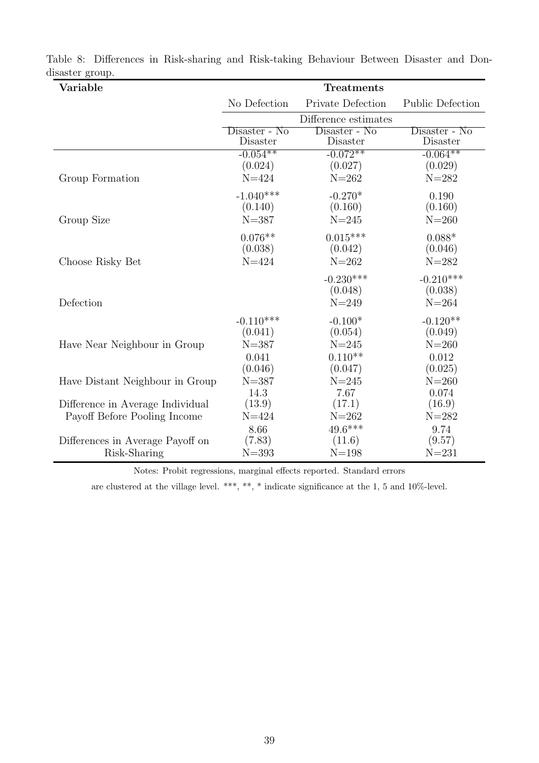| Variable                                         | <b>Treatments</b>                            |                                                |                                             |  |  |  |
|--------------------------------------------------|----------------------------------------------|------------------------------------------------|---------------------------------------------|--|--|--|
|                                                  | No Defection                                 | Private Defection                              | <b>Public Defection</b>                     |  |  |  |
|                                                  |                                              | Difference estimates                           |                                             |  |  |  |
|                                                  | Disaster - No<br>Disaster                    | Disaster - No<br>Disaster                      | Disaster - No<br>Disaster                   |  |  |  |
|                                                  | $-0.054***$                                  | $-0.072**$                                     | $-0.064***$                                 |  |  |  |
| Group Formation                                  | (0.024)<br>$N = 424$                         | (0.027)<br>$N = 262$                           | (0.029)<br>$N = 282$                        |  |  |  |
|                                                  | $-1.040***$<br>(0.140)                       | $-0.270*$<br>(0.160)                           | 0.190<br>(0.160)                            |  |  |  |
| Group Size                                       | $N = 387$                                    | $N = 245$                                      | $N = 260$                                   |  |  |  |
|                                                  | $0.076**$<br>(0.038)                         | $0.015***$<br>(0.042)                          | $0.088*$<br>(0.046)                         |  |  |  |
| Choose Risky Bet                                 | $N = 424$                                    | $N = 262$                                      | $N = 282$                                   |  |  |  |
|                                                  |                                              | $-0.230***$<br>(0.048)                         | $-0.210***$<br>(0.038)                      |  |  |  |
| Defection                                        |                                              | $N = 249$                                      | $N = 264$                                   |  |  |  |
| Have Near Neighbour in Group                     | $-0.110***$<br>(0.041)<br>$N = 387$<br>0.041 | $-0.100*$<br>(0.054)<br>$N = 245$<br>$0.110**$ | $-0.120**$<br>(0.049)<br>$N = 260$<br>0.012 |  |  |  |
| Have Distant Neighbour in Group                  | (0.046)<br>$N = 387$                         | (0.047)<br>$N = 245$                           | (0.025)<br>$N = 260$                        |  |  |  |
| Difference in Average Individual                 | 14.3<br>(13.9)                               | 7.67<br>(17.1)                                 | 0.074<br>(16.9)                             |  |  |  |
| Payoff Before Pooling Income                     | $N = 424$                                    | $N = 262$                                      | $N = 282$                                   |  |  |  |
| Differences in Average Payoff on<br>Risk-Sharing | 8.66<br>(7.83)<br>$N = 393$                  | $49.6***$<br>(11.6)<br>$N = 198$               | 9.74<br>(9.57)<br>$N = 231$                 |  |  |  |

<span id="page-38-0"></span>Table 8: Differences in Risk-sharing and Risk-taking Behaviour Between Disaster and Dondisaster group.

Notes: Probit regressions, marginal effects reported. Standard errors

are clustered at the village level. \*\*\*, \*\*, \* indicate significance at the 1, 5 and 10%-level.